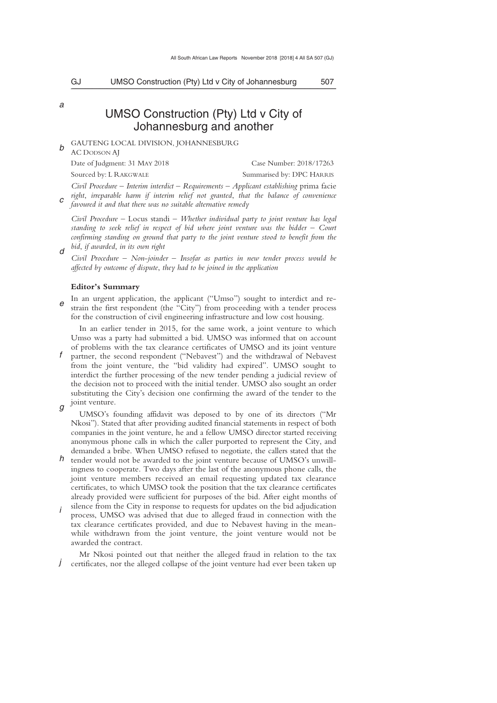*a* 

*d* 

# UMSO Construction (Pty) Ltd v City of Johannesburg and another

*b*  GAUTENG LOCAL DIVISION, JOHANNESBURG

AC DODSON AJ Date of Judgment: 31 MAY 2018 Case Number: 2018/17263 Sourced by: L RAKGWALE Summarised by: DPC HARRIS

*c Civil Procedure* – *Interim interdict* – *Requirements* – *Applicant establishing* prima facie *right*, *irreparable harm if interim relief not granted*, *that the balance of convenience favoured it and that there was no suitable alternative remedy* 

*Civil Procedure* – Locus standi – *Whether individual party to joint venture has legal standing to seek relief in respect of bid where joint venture was the bidder – Court confirming standing on ground that party to the joint venture stood to benefit from the bid*, *if awarded*, *in its own right* 

*Civil Procedure* – *Non*-*joinder* – *Insofar as parties in new tender process would be affected by outcome of dispute*, *they had to be joined in the application* 

### **Editor's Summary**

*e*  In an urgent application, the applicant ("Umso") sought to interdict and restrain the first respondent (the "City") from proceeding with a tender process for the construction of civil engineering infrastructure and low cost housing.

In an earlier tender in 2015, for the same work, a joint venture to which Umso was a party had submitted a bid. UMSO was informed that on account of problems with the tax clearance certificates of UMSO and its joint venture

- *f*  partner, the second respondent ("Nebavest") and the withdrawal of Nebavest from the joint venture, the "bid validity had expired". UMSO sought to interdict the further processing of the new tender pending a judicial review of the decision not to proceed with the initial tender. UMSO also sought an order substituting the City's decision one confirming the award of the tender to the joint venture.
- *g*

UMSO's founding affidavit was deposed to by one of its directors ("Mr Nkosi"). Stated that after providing audited financial statements in respect of both companies in the joint venture, he and a fellow UMSO director started receiving anonymous phone calls in which the caller purported to represent the City, and demanded a bribe. When UMSO refused to negotiate, the callers stated that the

- *h*  tender would not be awarded to the joint venture because of UMSO's unwillingness to cooperate. Two days after the last of the anonymous phone calls, the joint venture members received an email requesting updated tax clearance certificates, to which UMSO took the position that the tax clearance certificates already provided were sufficient for purposes of the bid. After eight months of silence from the City in response to requests for updates on the bid adjudication
- *i*  process, UMSO was advised that due to alleged fraud in connection with the tax clearance certificates provided, and due to Nebavest having in the meanwhile withdrawn from the joint venture, the joint venture would not be awarded the contract.

*j*  Mr Nkosi pointed out that neither the alleged fraud in relation to the tax certificates, nor the alleged collapse of the joint venture had ever been taken up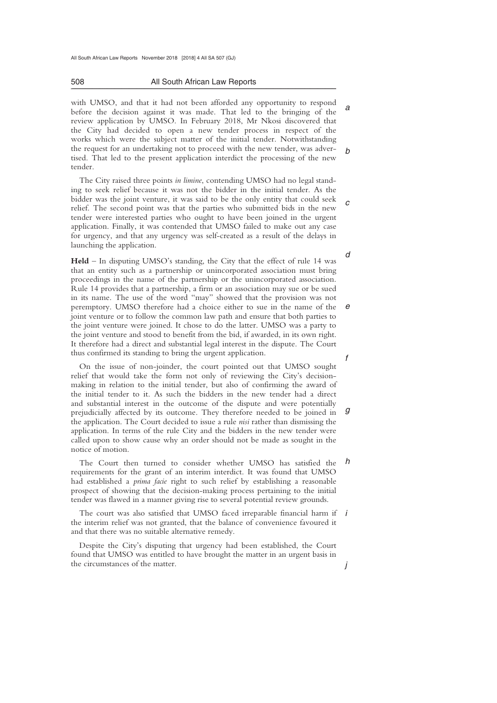All South African Law Reports November 2018 [2018] 4 All SA 507 (GJ)

508 All South African Law Reports \_\_\_\_\_\_\_\_\_\_\_\_\_\_\_\_\_\_\_\_\_\_\_\_\_\_\_\_\_\_\_\_\_\_\_\_\_\_\_\_\_\_\_\_\_\_\_\_\_\_\_\_\_\_\_\_\_\_\_\_\_\_\_\_\_\_\_\_\_\_\_\_\_\_\_\_\_\_\_\_\_\_\_\_\_\_\_\_\_\_\_\_\_\_\_\_\_\_\_\_\_\_\_\_\_\_\_\_\_\_\_\_\_\_\_\_\_\_\_\_\_\_\_\_\_\_\_\_\_\_\_\_\_\_\_\_\_\_\_\_\_\_\_

*a b*  with UMSO, and that it had not been afforded any opportunity to respond before the decision against it was made. That led to the bringing of the review application by UMSO. In February 2018, Mr Nkosi discovered that the City had decided to open a new tender process in respect of the works which were the subject matter of the initial tender. Notwithstanding the request for an undertaking not to proceed with the new tender, was advertised. That led to the present application interdict the processing of the new tender.

*c*  The City raised three points *in limine*, contending UMSO had no legal standing to seek relief because it was not the bidder in the initial tender. As the bidder was the joint venture, it was said to be the only entity that could seek relief. The second point was that the parties who submitted bids in the new tender were interested parties who ought to have been joined in the urgent application. Finally, it was contended that UMSO failed to make out any case for urgency, and that any urgency was self-created as a result of the delays in launching the application.

*e*  **Held** – In disputing UMSO's standing, the City that the effect of rule 14 was that an entity such as a partnership or unincorporated association must bring proceedings in the name of the partnership or the unincorporated association. Rule 14 provides that a partnership, a firm or an association may sue or be sued in its name. The use of the word "may" showed that the provision was not peremptory. UMSO therefore had a choice either to sue in the name of the joint venture or to follow the common law path and ensure that both parties to the joint venture were joined. It chose to do the latter. UMSO was a party to the joint venture and stood to benefit from the bid, if awarded, in its own right. It therefore had a direct and substantial legal interest in the dispute. The Court thus confirmed its standing to bring the urgent application.

*g*  On the issue of non-joinder, the court pointed out that UMSO sought relief that would take the form not only of reviewing the City's decisionmaking in relation to the initial tender, but also of confirming the award of the initial tender to it. As such the bidders in the new tender had a direct and substantial interest in the outcome of the dispute and were potentially prejudicially affected by its outcome. They therefore needed to be joined in the application. The Court decided to issue a rule *nisi* rather than dismissing the application. In terms of the rule City and the bidders in the new tender were called upon to show cause why an order should not be made as sought in the notice of motion.

*h*  The Court then turned to consider whether UMSO has satisfied the requirements for the grant of an interim interdict. It was found that UMSO had established a *prima facie* right to such relief by establishing a reasonable prospect of showing that the decision-making process pertaining to the initial tender was flawed in a manner giving rise to several potential review grounds.

The court was also satisfied that UMSO faced irreparable financial harm if *i* the interim relief was not granted, that the balance of convenience favoured it and that there was no suitable alternative remedy.

Despite the City's disputing that urgency had been established, the Court found that UMSO was entitled to have brought the matter in an urgent basis in the circumstances of the matter.

*d* 

*f* 

*j*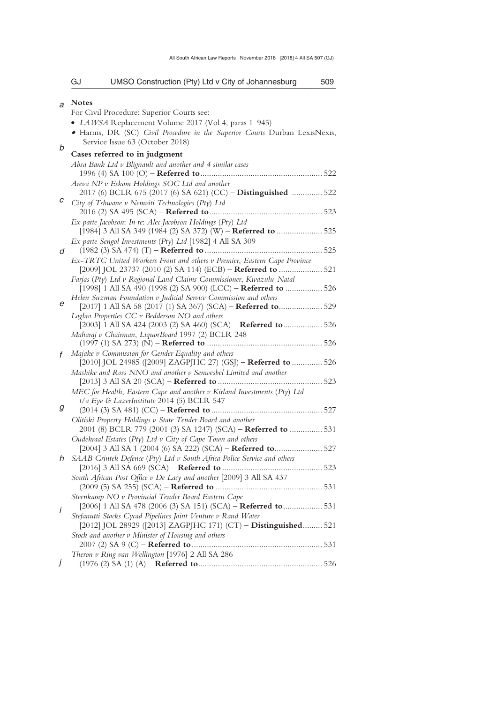|    | GJ           | UMSO Construction (Pty) Ltd v City of Johannesburg                                                              | 509 |
|----|--------------|-----------------------------------------------------------------------------------------------------------------|-----|
| a  | <b>Notes</b> |                                                                                                                 |     |
|    |              | For Civil Procedure: Superior Courts see:                                                                       |     |
|    |              | • LAWSA Replacement Volume 2017 (Vol 4, paras 1-945)                                                            |     |
|    |              | • Harms, DR (SC) Civil Procedure in the Superior Courts Durban LexisNexis,                                      |     |
| b  |              | Service Issue 63 (October 2018)                                                                                 |     |
|    |              | Cases referred to in judgment                                                                                   |     |
|    |              | Absa Bank Ltd v Blignault and another and 4 similar cases                                                       |     |
|    |              | Areva NP v Eskom Holdings SOC Ltd and another                                                                   |     |
|    |              | 2017 (6) BCLR 675 (2017 (6) SA 621) (CC) - Distinguished  522                                                   |     |
| с  |              | City of Tshwane v Nemviti Technologies (Pty) Ltd                                                                |     |
|    |              |                                                                                                                 |     |
|    |              | Ex parte Jacobson: In re: Alec Jacobson Holdings (Pty) Ltd                                                      |     |
|    |              | [1984] 3 All SA 349 (1984 (2) SA 372) (W) - Referred to  525                                                    |     |
|    |              | Ex parte Sengol Investments (Pty) Ltd [1982] 4 All SA 309                                                       |     |
| d  |              | Ex-TRTC United Workers Front and others v Premier, Eastern Cape Province                                        |     |
|    |              | [2009] JOL 23737 (2010 (2) SA 114) (ECB) - Referred to  521                                                     |     |
|    |              | Farjas (Pty) Ltd v Regional Land Claims Commissioner, Kwazulu-Natal                                             |     |
|    |              | [1998] 1 All SA 490 (1998 (2) SA 900) (LCC) - Referred to  526                                                  |     |
| е  |              | Helen Suzman Foundation v Judicial Service Commission and others                                                |     |
|    |              | [2017] 1 All SA 58 (2017 (1) SA 367) (SCA) - Referred to 529                                                    |     |
|    |              | Logbro Properties CC v Bedderson NO and others<br>[2003] 1 All SA 424 (2003 (2) SA 460) (SCA) – Referred to 526 |     |
|    |              | Maharaj v Chairman, LiquorBoard 1997 (2) BCLR 248                                                               |     |
|    |              |                                                                                                                 |     |
| f  |              | Majake v Commission for Gender Equality and others                                                              |     |
|    |              | [2010] JOL 24985 ([2009] ZAGPJHC 27) (GSJ) - Referred to  526                                                   |     |
|    |              | Mashike and Ross NNO and another v Senwesbel Limited and another                                                |     |
|    |              | MEC for Health, Eastern Cape and another v Kirland Investments (Pty) Ltd                                        |     |
|    |              | t/a Eye & LazerInstitute 2014 (5) BCLR 547                                                                      |     |
| g  |              |                                                                                                                 |     |
|    |              | Olitiski Property Holdings v State Tender Board and another                                                     |     |
|    |              | 2001 (8) BCLR 779 (2001 (3) SA 1247) (SCA) – Referred to  531                                                   |     |
|    |              | Oudekraal Estates (Pty) Ltd v City of Cape Town and others                                                      |     |
|    |              | [2004] 3 All SA 1 (2004 (6) SA 222) (SCA) - Referred to 527                                                     |     |
| h. |              | SAAB Grintek Defence (Pty) Ltd v South Africa Police Service and others                                         |     |
|    |              | South African Post Office v De Lacy and another [2009] 3 All SA 437                                             |     |
|    |              |                                                                                                                 |     |
|    |              | Steenkamp NO v Provincial Tender Board Eastern Cape                                                             |     |
| İ  |              | [2006] 1 All SA 478 (2006 (3) SA 151) (SCA) - Referred to 531                                                   |     |
|    |              | Stefanutti Stocks Cycad Pipelines Joint Venture v Rand Water                                                    |     |
|    |              | [2012] JOL 28929 ([2013] ZAGPJHC 171) (CT) - Distinguished 521                                                  |     |
|    |              | Stock and another v Minister of Housing and others                                                              |     |
|    |              | Theron v Ring van Wellington [1976] 2 All SA 286                                                                |     |
|    |              |                                                                                                                 |     |

(1976 (2) SA (1) (A) – **Referred to**......................................................... 526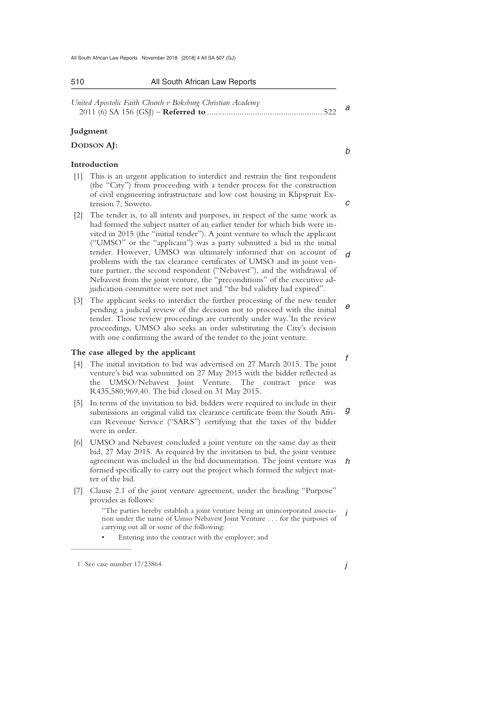| United Apostolic Faith Church v Boksburg Christian Academy |  |
|------------------------------------------------------------|--|
|                                                            |  |

\_\_\_\_\_\_\_\_\_\_\_\_\_\_\_\_\_\_\_\_\_\_\_\_\_\_\_\_\_\_\_\_\_\_\_\_\_\_\_\_\_\_\_\_\_\_\_\_\_\_\_\_\_\_\_\_\_\_\_\_\_\_\_\_\_\_\_\_\_\_\_\_\_\_\_\_\_\_\_\_\_\_\_\_\_\_\_\_\_\_\_\_\_\_\_\_\_\_\_\_\_\_\_\_\_\_\_\_\_\_\_\_\_\_\_\_\_\_\_\_\_\_\_\_\_\_\_\_\_\_\_\_\_\_\_\_\_\_\_\_\_\_\_

### **Judgment**

### **DODSON AJ:**

### **Introduction**

- [1] This is an urgent application to interdict and restrain the first respondent (the "City") from proceeding with a tender process for the construction of civil engineering infrastructure and low cost housing in Klipspruit Extension 7, Soweto.
- *d*  [2] The tender is, to all intents and purposes, in respect of the same work as had formed the subject matter of an earlier tender for which bids were invited in 2015 (the "initial tender"). A joint venture to which the applicant ("UMSO" or the "applicant") was a party submitted a bid in the initial tender. However, UMSO was ultimately informed that on account of problems with the tax clearance certificates of UMSO and its joint venture partner, the second respondent ("Nebavest"), and the withdrawal of Nebavest from the joint venture, the "preconditions" of the executive adjudication committee were not met and "the bid validity had expired".
- *e*  [3] The applicant seeks to interdict the further processing of the new tender pending a judicial review of the decision not to proceed with the initial tender. Those review proceedings are currently under way.<sup>1</sup>In the review proceedings, UMSO also seeks an order substituting the City's decision with one confirming the award of the tender to the joint venture.

### **The case alleged by the applicant**

- [4] The initial invitation to bid was advertised on 27 March 2015. The joint venture's bid was submitted on 27 May 2015 with the bidder reflected as the UMSO/Nebavest Joint Venture. The contract price was R435,580,969,40. The bid closed on 31 May 2015.
- *g*  [5] In terms of the invitation to bid, bidders were required to include in their submissions an original valid tax clearance certificate from the South African Revenue Service ("SARS") certifying that the taxes of the bidder were in order.
- *h*  [6] UMSO and Nebavest concluded a joint venture on the same day as their bid, 27 May 2015. As required by the invitation to bid, the joint venture agreement was included in the bid documentation. The joint venture was formed specifically to carry out the project which formed the subject matter of the bid.
- [7] Clause 2.1 of the joint venture agreement, under the heading "Purpose" provides as follows:

*i*  "The parties hereby establish a joint venture being an unincorporated association under the name of Umso Nebavest Joint Venture . . . for the purposes of carrying out all or some of the following:

Entering into the contract with the employer; and

 $\frac{1}{2}$  , and the set of the set of the set of the set of the set of the set of the set of the set of the set of the set of the set of the set of the set of the set of the set of the set of the set of the set of the set

*j* 

*f* 

*b* 

*c* 

 <sup>1</sup> See case number 17/23864.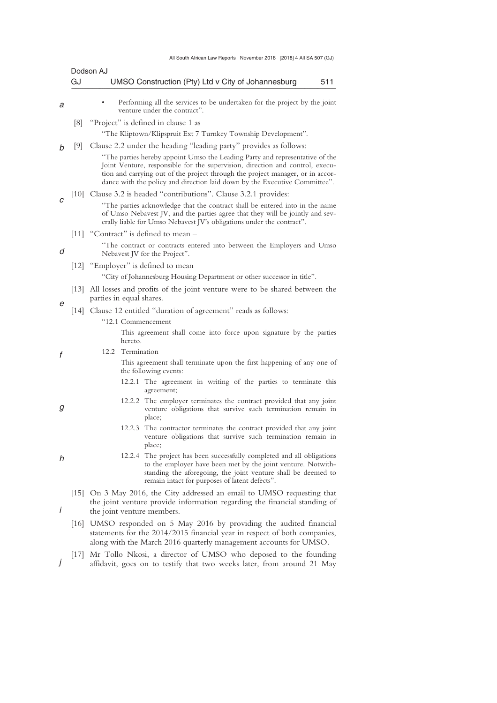|   | GJ     | Dodson AJ<br>UMSO Construction (Pty) Ltd v City of Johannesburg<br>511                                                                                                                                                                                                                                                        |  |  |  |  |
|---|--------|-------------------------------------------------------------------------------------------------------------------------------------------------------------------------------------------------------------------------------------------------------------------------------------------------------------------------------|--|--|--|--|
| а |        | Performing all the services to be undertaken for the project by the joint<br>venture under the contract".                                                                                                                                                                                                                     |  |  |  |  |
|   | [8]    | "Project" is defined in clause 1 as -                                                                                                                                                                                                                                                                                         |  |  |  |  |
|   |        | "The Kliptown/Klipspruit Ext 7 Turnkey Township Development".                                                                                                                                                                                                                                                                 |  |  |  |  |
|   | [9]    | Clause 2.2 under the heading "leading party" provides as follows:                                                                                                                                                                                                                                                             |  |  |  |  |
|   |        | "The parties hereby appoint Umso the Leading Party and representative of the<br>Joint Venture, responsible for the supervision, direction and control, execu-<br>tion and carrying out of the project through the project manager, or in accor-<br>dance with the policy and direction laid down by the Executive Committee". |  |  |  |  |
|   | 10     | Clause 3.2 is headed "contributions". Clause 3.2.1 provides:                                                                                                                                                                                                                                                                  |  |  |  |  |
| C |        | "The parties acknowledge that the contract shall be entered into in the name<br>of Umso Nebavest JV, and the parties agree that they will be jointly and sev-<br>erally liable for Umso Nebavest JV's obligations under the contract".                                                                                        |  |  |  |  |
|   |        | [11] "Contract" is defined to mean -                                                                                                                                                                                                                                                                                          |  |  |  |  |
| d |        | "The contract or contracts entered into between the Employers and Umso<br>Nebavest JV for the Project".                                                                                                                                                                                                                       |  |  |  |  |
|   | [12]   | "Employer" is defined to mean –                                                                                                                                                                                                                                                                                               |  |  |  |  |
|   |        | "City of Johannesburg Housing Department or other successor in title".                                                                                                                                                                                                                                                        |  |  |  |  |
|   | 13     | All losses and profits of the joint venture were to be shared between the<br>parties in equal shares.                                                                                                                                                                                                                         |  |  |  |  |
|   | $[14]$ | Clause 12 entitled "duration of agreement" reads as follows:                                                                                                                                                                                                                                                                  |  |  |  |  |
|   |        | "12.1 Commencement                                                                                                                                                                                                                                                                                                            |  |  |  |  |
|   |        | This agreement shall come into force upon signature by the parties<br>hereto.                                                                                                                                                                                                                                                 |  |  |  |  |
|   |        | 12.2 Termination                                                                                                                                                                                                                                                                                                              |  |  |  |  |
|   |        | This agreement shall terminate upon the first happening of any one of<br>the following events:                                                                                                                                                                                                                                |  |  |  |  |
|   |        | 12.2.1 The agreement in writing of the parties to terminate this<br>agreement;                                                                                                                                                                                                                                                |  |  |  |  |
| g |        | 12.2.2 The employer terminates the contract provided that any joint<br>venture obligations that survive such termination remain in<br>place;                                                                                                                                                                                  |  |  |  |  |
|   |        | 12.2.3 The contractor terminates the contract provided that any joint<br>venture obligations that survive such termination remain in<br>place;                                                                                                                                                                                |  |  |  |  |
|   |        | 12.2.4 The project has been successfully completed and all obligations<br>to the employer have been met by the joint venture. Notwith-<br>standing the aforegoing, the joint venture shall be deemed to<br>remain intact for purposes of latent defects".                                                                     |  |  |  |  |
|   |        | [15] On 3 May 2016, the City addressed an email to UMSO requesting that<br>the joint venture provide information regarding the financial standing of<br>the joint venture members.                                                                                                                                            |  |  |  |  |
|   |        | [16] UMSO responded on 5 May 2016 by providing the audited financial<br>statements for the 2014/2015 financial year in respect of both companies,<br>along with the March 2016 quarterly management accounts for UMSO.                                                                                                        |  |  |  |  |

*j*  [17] Mr Tollo Nkosi, a director of UMSO who deposed to the founding affidavit, goes on to testify that two weeks later, from around 21 May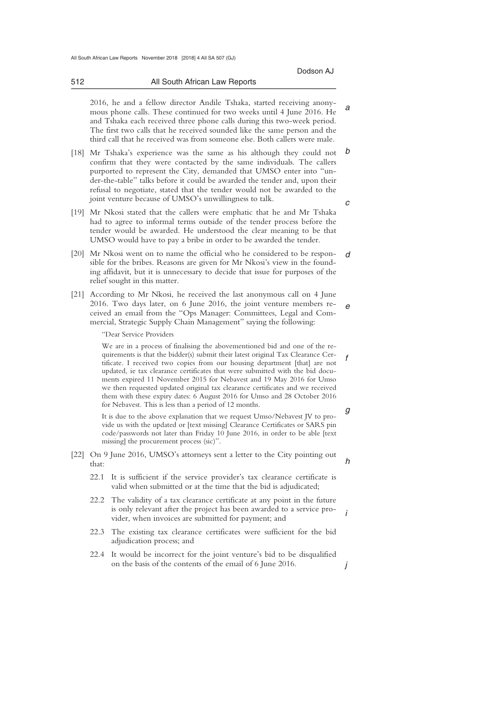*g* 

*a*  2016, he and a fellow director Andile Tshaka, started receiving anonymous phone calls. These continued for two weeks until 4 June 2016. He and Tshaka each received three phone calls during this two-week period. The first two calls that he received sounded like the same person and the third call that he received was from someone else. Both callers were male.

\_\_\_\_\_\_\_\_\_\_\_\_\_\_\_\_\_\_\_\_\_\_\_\_\_\_\_\_\_\_\_\_\_\_\_\_\_\_\_\_\_\_\_\_\_\_\_\_\_\_\_\_\_\_\_\_\_\_\_\_\_\_\_\_\_\_\_\_\_\_\_\_\_\_\_\_\_\_\_\_\_\_\_\_\_\_\_\_\_\_\_\_\_\_\_\_\_\_\_\_\_\_\_\_\_\_\_\_\_\_\_\_\_\_\_\_\_\_\_\_\_\_\_\_\_\_\_\_\_\_\_\_\_\_\_\_\_\_\_\_\_\_\_

- *b c*  [18] Mr Tshaka's experience was the same as his although they could not confirm that they were contacted by the same individuals. The callers purported to represent the City, demanded that UMSO enter into "under-the-table" talks before it could be awarded the tender and, upon their refusal to negotiate, stated that the tender would not be awarded to the joint venture because of UMSO's unwillingness to talk.
- [19] Mr Nkosi stated that the callers were emphatic that he and Mr Tshaka had to agree to informal terms outside of the tender process before the tender would be awarded. He understood the clear meaning to be that UMSO would have to pay a bribe in order to be awarded the tender.
- *d*  [20] Mr Nkosi went on to name the official who he considered to be responsible for the bribes. Reasons are given for Mr Nkosi's view in the founding affidavit, but it is unnecessary to decide that issue for purposes of the relief sought in this matter.
- *e*  [21] According to Mr Nkosi, he received the last anonymous call on 4 June 2016. Two days later, on 6 June 2016, the joint venture members received an email from the "Ops Manager: Committees, Legal and Commercial, Strategic Supply Chain Management" saying the following:

"Dear Service Providers

*f*  We are in a process of finalising the abovementioned bid and one of the requirements is that the bidder(s) submit their latest original Tax Clearance Certificate. I received two copies from our housing department [that] are not updated, ie tax clearance certificates that were submitted with the bid documents expired 11 November 2015 for Nebavest and 19 May 2016 for Umso we then requested updated original tax clearance certificates and we received them with these expiry dates: 6 August 2016 for Umso and 28 October 2016 for Nebavest. This is less than a period of 12 months.

It is due to the above explanation that we request Umso/Nebavest JV to provide us with the updated or [text missing] Clearance Certificates or SARS pin code/passwords not later than Friday 10 June 2016, in order to be able [text missing] the procurement process (sic)".

- *h*  [22] On 9 June 2016, UMSO's attorneys sent a letter to the City pointing out that:
	- 22.1 It is sufficient if the service provider's tax clearance certificate is valid when submitted or at the time that the bid is adjudicated;
	- *i*  22.2 The validity of a tax clearance certificate at any point in the future is only relevant after the project has been awarded to a service provider, when invoices are submitted for payment; and
	- 22.3 The existing tax clearance certificates were sufficient for the bid adjudication process; and
	- *j*  22.4 It would be incorrect for the joint venture's bid to be disqualified on the basis of the contents of the email of 6 June 2016.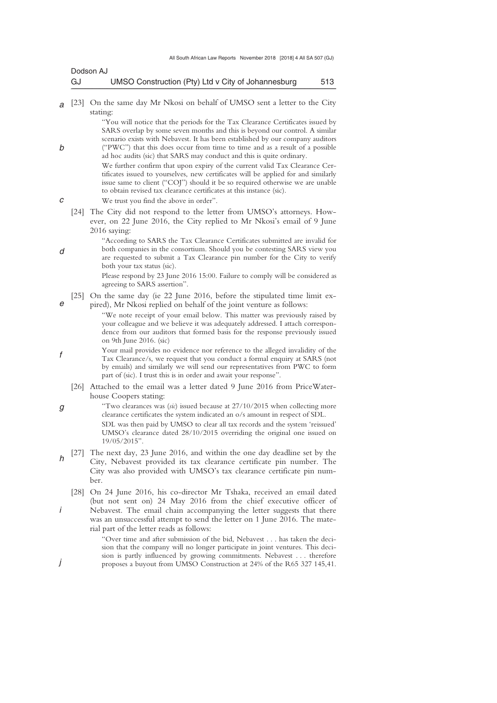| Dodson AJ |                                                    |     |
|-----------|----------------------------------------------------|-----|
| GJ        | UMSO Construction (Pty) Ltd v City of Johannesburg | 513 |

*a*  [23] On the same day Mr Nkosi on behalf of UMSO sent a letter to the City stating:

> "You will notice that the periods for the Tax Clearance Certificates issued by SARS overlap by some seven months and this is beyond our control. A similar scenario exists with Nebavest. It has been established by our company auditors ("PWC") that this does occur from time to time and as a result of a possible ad hoc audits (sic) that SARS may conduct and this is quite ordinary.

> We further confirm that upon expiry of the current valid Tax Clearance Certificates issued to yourselves, new certificates will be applied for and similarly issue same to client ("COJ") should it be so required otherwise we are unable to obtain revised tax clearance certificates at this instance (sic).

- We trust you find the above in order".
- [24] The City did not respond to the letter from UMSO's attorneys. However, on 22 June 2016, the City replied to Mr Nkosi's email of 9 June 2016 saying:
	- "According to SARS the Tax Clearance Certificates submitted are invalid for both companies in the consortium. Should you be contesting SARS view you are requested to submit a Tax Clearance pin number for the City to verify both your tax status (sic).

Please respond by 23 June 2016 15:00. Failure to comply will be considered as agreeing to SARS assertion".

- *e*  [25] On the same day (ie 22 June 2016, before the stipulated time limit expired), Mr Nkosi replied on behalf of the joint venture as follows:
	- "We note receipt of your email below. This matter was previously raised by your colleague and we believe it was adequately addressed. I attach correspondence from our auditors that formed basis for the response previously issued on 9th June 2016. (sic)
- *f*  Your mail provides no evidence nor reference to the alleged invalidity of the Tax Clearance/s, we request that you conduct a formal enquiry at SARS (not by emails) and similarly we will send our representatives from PWC to form part of (sic). I trust this is in order and await your response".
	- [26] Attached to the email was a letter dated 9 June 2016 from PriceWaterhouse Coopers stating:
- *g*  "Two clearances was (*sic*) issued because at 27/10/2015 when collecting more clearance certificates the system indicated an o/s amount in respect of SDL. SDL was then paid by UMSO to clear all tax records and the system 'reissued' UMSO's clearance dated 28/10/2015 overriding the original one issued on 19/05/2015".
- *h*  [27] The next day, 23 June 2016, and within the one day deadline set by the City, Nebavest provided its tax clearance certificate pin number. The City was also provided with UMSO's tax clearance certificate pin number.
- *i*  [28] On 24 June 2016, his co-director Mr Tshaka, received an email dated (but not sent on) 24 May 2016 from the chief executive officer of Nebavest. The email chain accompanying the letter suggests that there was an unsuccessful attempt to send the letter on 1 June 2016. The material part of the letter reads as follows:

"Over time and after submission of the bid, Nebavest . . . has taken the decision that the company will no longer participate in joint ventures. This decision is partly influenced by growing commitments. Nebavest . . . therefore proposes a buyout from UMSO Construction at 24% of the R65 327 145,41.

*d* 

*j* 

*c* 

*b*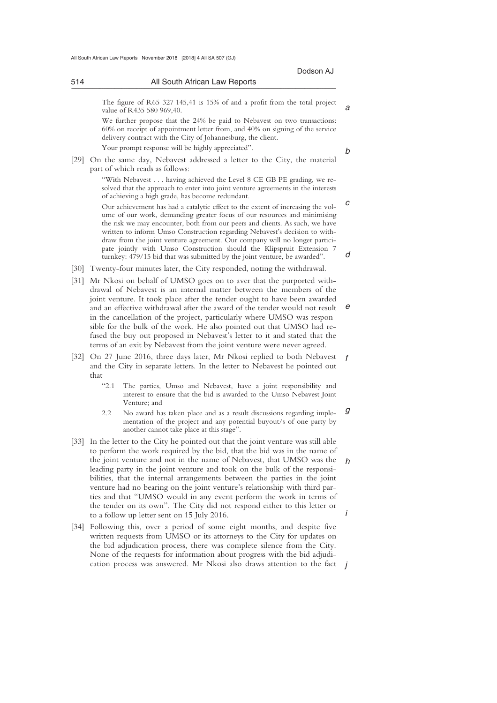514 All South African Law Reports \_\_\_\_\_\_\_\_\_\_\_\_\_\_\_\_\_\_\_\_\_\_\_\_\_\_\_\_\_\_\_\_\_\_\_\_\_\_\_\_\_\_\_\_\_\_\_\_\_\_\_\_\_\_\_\_\_\_\_\_\_\_\_\_\_\_\_\_\_\_\_\_\_\_\_\_\_\_\_\_\_\_\_\_\_\_\_\_\_\_\_\_\_\_\_\_\_\_\_\_\_\_\_\_\_\_\_\_\_\_\_\_\_\_\_\_\_\_\_\_\_\_\_\_\_\_\_\_\_\_\_\_\_\_\_\_\_\_\_\_\_\_\_ The figure of R65 327 145,41 is 15% of and a profit from the total project value of R435 580 969,40. We further propose that the 24% be paid to Nebavest on two transactions: 60% on receipt of appointment letter from, and 40% on signing of the service delivery contract with the City of Johannesburg, the client. Your prompt response will be highly appreciated". [29] On the same day, Nebavest addressed a letter to the City, the material part of which reads as follows: "With Nebavest . . . having achieved the Level 8 CE GB PE grading, we resolved that the approach to enter into joint venture agreements in the interests of achieving a high grade, has become redundant. Our achievement has had a catalytic effect to the extent of increasing the volume of our work, demanding greater focus of our resources and minimising the risk we may encounter, both from our peers and clients. As such, we have written to inform Umso Construction regarding Nebavest's decision to withdraw from the joint venture agreement. Our company will no longer participate jointly with Umso Construction should the Klipspruit Extension 7 turnkey: 479/15 bid that was submitted by the joint venture, be awarded". [30] Twenty-four minutes later, the City responded, noting the withdrawal. [31] Mr Nkosi on behalf of UMSO goes on to aver that the purported withdrawal of Nebavest is an internal matter between the members of the joint venture. It took place after the tender ought to have been awarded and an effective withdrawal after the award of the tender would not result in the cancellation of the project, particularly where UMSO was responsible for the bulk of the work. He also pointed out that UMSO had refused the buy out proposed in Nebavest's letter to it and stated that the terms of an exit by Nebavest from the joint venture were never agreed. [32] On 27 June 2016, three days later, Mr Nkosi replied to both Nebavest

- *f*  and the City in separate letters. In the letter to Nebavest he pointed out that
	- "2.1 The parties, Umso and Nebavest, have a joint responsibility and interest to ensure that the bid is awarded to the Umso Nebavest Joint Venture; and
	- *g*  2.2 No award has taken place and as a result discussions regarding implementation of the project and any potential buyout/s of one party by another cannot take place at this stage".
- *h i*  [33] In the letter to the City he pointed out that the joint venture was still able to perform the work required by the bid, that the bid was in the name of the joint venture and not in the name of Nebavest, that UMSO was the leading party in the joint venture and took on the bulk of the responsibilities, that the internal arrangements between the parties in the joint venture had no bearing on the joint venture's relationship with third parties and that "UMSO would in any event perform the work in terms of the tender on its own". The City did not respond either to this letter or to a follow up letter sent on 15 July 2016.
- cation process was answered. Mr Nkosi also draws attention to the fact *j* [34] Following this, over a period of some eight months, and despite five written requests from UMSO or its attorneys to the City for updates on the bid adjudication process, there was complete silence from the City. None of the requests for information about progress with the bid adjudi-

*b* 

*c* 

*d* 

*e*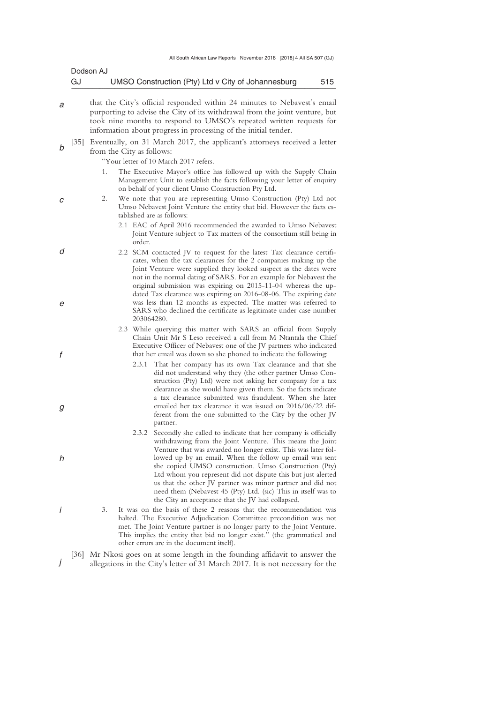|   |                   | Dodson AJ                 |            |                                                                                                                                                                                                                                                                                                                                                                                                                                                                                                                                                                     |     |
|---|-------------------|---------------------------|------------|---------------------------------------------------------------------------------------------------------------------------------------------------------------------------------------------------------------------------------------------------------------------------------------------------------------------------------------------------------------------------------------------------------------------------------------------------------------------------------------------------------------------------------------------------------------------|-----|
|   | GJ                |                           |            | UMSO Construction (Pty) Ltd v City of Johannesburg                                                                                                                                                                                                                                                                                                                                                                                                                                                                                                                  | 515 |
| а |                   |                           |            | that the City's official responded within 24 minutes to Nebavest's email<br>purporting to advise the City of its withdrawal from the joint venture, but<br>took nine months to respond to UMSO's repeated written requests for<br>information about progress in processing of the initial tender.                                                                                                                                                                                                                                                                   |     |
| h | $\left[35\right]$ | from the City as follows: |            | Eventually, on 31 March 2017, the applicant's attorneys received a letter                                                                                                                                                                                                                                                                                                                                                                                                                                                                                           |     |
|   |                   |                           |            | "Your letter of 10 March 2017 refers.                                                                                                                                                                                                                                                                                                                                                                                                                                                                                                                               |     |
|   |                   | 1.                        |            | The Executive Mayor's office has followed up with the Supply Chain<br>Management Unit to establish the facts following your letter of enquiry<br>on behalf of your client Umso Construction Pty Ltd.                                                                                                                                                                                                                                                                                                                                                                |     |
| С |                   | 2.                        |            | We note that you are representing Umso Construction (Pty) Ltd not<br>Umso Nebavest Joint Venture the entity that bid. However the facts es-<br>tablished are as follows:                                                                                                                                                                                                                                                                                                                                                                                            |     |
|   |                   |                           | order.     | 2.1 EAC of April 2016 recommended the awarded to Umso Nebavest<br>Joint Venture subject to Tax matters of the consortium still being in                                                                                                                                                                                                                                                                                                                                                                                                                             |     |
| d |                   |                           |            | 2.2 SCM contacted JV to request for the latest Tax clearance certifi-<br>cates, when the tax clearances for the 2 companies making up the<br>Joint Venture were supplied they looked suspect as the dates were<br>not in the normal dating of SARS. For an example for Nebavest the<br>original submission was expiring on 2015-11-04 whereas the up-                                                                                                                                                                                                               |     |
|   |                   |                           | 203064280. | dated Tax clearance was expiring on 2016-08-06. The expiring date<br>was less than 12 months as expected. The matter was referred to<br>SARS who declined the certificate as legitimate under case number                                                                                                                                                                                                                                                                                                                                                           |     |
|   |                   |                           |            | 2.3 While querying this matter with SARS an official from Supply<br>Chain Unit Mr S Leso received a call from M Ntantala the Chief<br>Executive Officer of Nebavest one of the JV partners who indicated<br>that her email was down so she phoned to indicate the following:                                                                                                                                                                                                                                                                                        |     |
|   |                   |                           |            | 2.3.1 That her company has its own Tax clearance and that she<br>did not understand why they (the other partner Umso Con-<br>struction (Pty) Ltd) were not asking her company for a tax<br>clearance as she would have given them. So the facts indicate<br>a tax clearance submitted was fraudulent. When she later<br>emailed her tax clearance it was issued on 2016/06/22 dif-<br>ferent from the one submitted to the City by the other JV<br>partner.                                                                                                         |     |
|   |                   |                           | 2.3.2      | Secondly she called to indicate that her company is officially<br>withdrawing from the Joint Venture. This means the Joint<br>Venture that was awarded no longer exist. This was later fol-<br>lowed up by an email. When the follow up email was sent<br>she copied UMSO construction. Umso Construction (Pty)<br>Ltd whom you represent did not dispute this but just alerted<br>us that the other JV partner was minor partner and did not<br>need them (Nebavest 45 (Pty) Ltd. (sic) This in itself was to<br>the City an acceptance that the JV had collapsed. |     |
|   |                   | 3.                        |            | It was on the basis of these 2 reasons that the recommendation was<br>halted. The Executive Adjudication Committee precondition was not<br>met. The Joint Venture partner is no longer party to the Joint Venture.<br>This implies the entity that bid no longer exist." (the grammatical and<br>other errors are in the document itself).                                                                                                                                                                                                                          |     |
|   | 36                |                           |            | Mr Nkosi goes on at some length in the founding affidavit to answer the                                                                                                                                                                                                                                                                                                                                                                                                                                                                                             |     |

*j* 

allegations in the City's letter of 31 March 2017. It is not necessary for the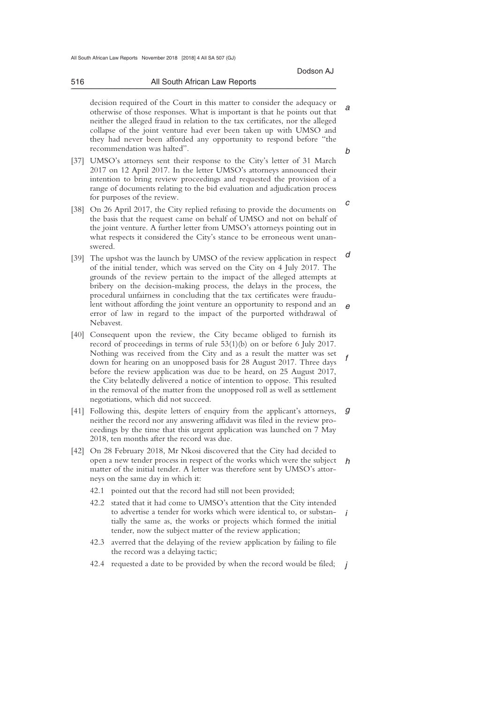*a* 

*b* 

*c* 

 decision required of the Court in this matter to consider the adequacy or otherwise of those responses. What is important is that he points out that neither the alleged fraud in relation to the tax certificates, nor the alleged collapse of the joint venture had ever been taken up with UMSO and they had never been afforded any opportunity to respond before "the recommendation was halted".

\_\_\_\_\_\_\_\_\_\_\_\_\_\_\_\_\_\_\_\_\_\_\_\_\_\_\_\_\_\_\_\_\_\_\_\_\_\_\_\_\_\_\_\_\_\_\_\_\_\_\_\_\_\_\_\_\_\_\_\_\_\_\_\_\_\_\_\_\_\_\_\_\_\_\_\_\_\_\_\_\_\_\_\_\_\_\_\_\_\_\_\_\_\_\_\_\_\_\_\_\_\_\_\_\_\_\_\_\_\_\_\_\_\_\_\_\_\_\_\_\_\_\_\_\_\_\_\_\_\_\_\_\_\_\_\_\_\_\_\_\_\_\_

- [37] UMSO's attorneys sent their response to the City's letter of 31 March 2017 on 12 April 2017. In the letter UMSO's attorneys announced their intention to bring review proceedings and requested the provision of a range of documents relating to the bid evaluation and adjudication process for purposes of the review.
- [38] On 26 April 2017, the City replied refusing to provide the documents on the basis that the request came on behalf of UMSO and not on behalf of the joint venture. A further letter from UMSO's attorneys pointing out in what respects it considered the City's stance to be erroneous went unanswered.
- *d e*  [39] The upshot was the launch by UMSO of the review application in respect of the initial tender, which was served on the City on 4 July 2017. The grounds of the review pertain to the impact of the alleged attempts at bribery on the decision-making process, the delays in the process, the procedural unfairness in concluding that the tax certificates were fraudulent without affording the joint venture an opportunity to respond and an error of law in regard to the impact of the purported withdrawal of Nebavest.
- *f*  [40] Consequent upon the review, the City became obliged to furnish its record of proceedings in terms of rule 53(1)(b) on or before 6 July 2017. Nothing was received from the City and as a result the matter was set down for hearing on an unopposed basis for 28 August 2017. Three days before the review application was due to be heard, on 25 August 2017, the City belatedly delivered a notice of intention to oppose. This resulted in the removal of the matter from the unopposed roll as well as settlement negotiations, which did not succeed.
- [41] Following this, despite letters of enquiry from the applicant's attorneys, g neither the record nor any answering affidavit was filed in the review proceedings by the time that this urgent application was launched on 7 May 2018, ten months after the record was due.
- *h*  open a new tender process in respect of the works which were the subject [42] On 28 February 2018, Mr Nkosi discovered that the City had decided to matter of the initial tender. A letter was therefore sent by UMSO's attorneys on the same day in which it:
	- 42.1 pointed out that the record had still not been provided;
	- *i*  42.2 stated that it had come to UMSO's attention that the City intended to advertise a tender for works which were identical to, or substantially the same as, the works or projects which formed the initial tender, now the subject matter of the review application;
	- 42.3 averred that the delaying of the review application by failing to file the record was a delaying tactic;
- 42.4 requested a date to be provided by when the record would be filed; j

516 All South African Law Reports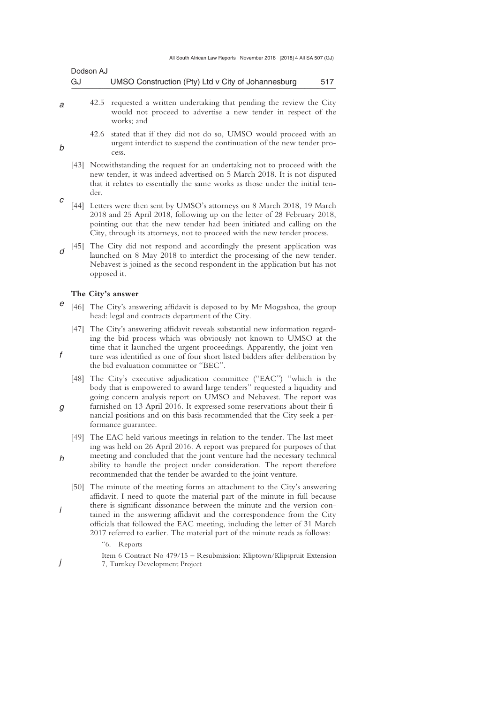| Dodson AJ |                                                    |     |
|-----------|----------------------------------------------------|-----|
| GJ        | UMSO Construction (Pty) Ltd v City of Johannesburg | 517 |

- *a*  42.5 requested a written undertaking that pending the review the City would not proceed to advertise a new tender in respect of the works; and
	- 42.6 stated that if they did not do so, UMSO would proceed with an urgent interdict to suspend the continuation of the new tender process.
	- [43] Notwithstanding the request for an undertaking not to proceed with the new tender, it was indeed advertised on 5 March 2018. It is not disputed that it relates to essentially the same works as those under the initial tender.
- *c*  [44] Letters were then sent by UMSO's attorneys on 8 March 2018, 19 March 2018 and 25 April 2018, following up on the letter of 28 February 2018, pointing out that the new tender had been initiated and calling on the City, through its attorneys, not to proceed with the new tender process.
- *d*  [45] The City did not respond and accordingly the present application was launched on 8 May 2018 to interdict the processing of the new tender. Nebavest is joined as the second respondent in the application but has not opposed it.

### **The City's answer**

*b* 

*f* 

*i* 

*j* 

- *e*  [46] The City's answering affidavit is deposed to by Mr Mogashoa, the group head: legal and contracts department of the City.
	- [47] The City's answering affidavit reveals substantial new information regarding the bid process which was obviously not known to UMSO at the time that it launched the urgent proceedings. Apparently, the joint venture was identified as one of four short listed bidders after deliberation by the bid evaluation committee or "BEC".
	- [48] The City's executive adjudication committee ("EAC") "which is the body that is empowered to award large tenders" requested a liquidity and going concern analysis report on UMSO and Nebavest. The report was
- *g*  furnished on 13 April 2016. It expressed some reservations about their financial positions and on this basis recommended that the City seek a performance guarantee.
- *h*  [49] The EAC held various meetings in relation to the tender. The last meeting was held on 26 April 2016. A report was prepared for purposes of that meeting and concluded that the joint venture had the necessary technical ability to handle the project under consideration. The report therefore recommended that the tender be awarded to the joint venture.
	- [50] The minute of the meeting forms an attachment to the City's answering affidavit. I need to quote the material part of the minute in full because there is significant dissonance between the minute and the version contained in the answering affidavit and the correspondence from the City officials that followed the EAC meeting, including the letter of 31 March 2017 referred to earlier. The material part of the minute reads as follows:
		- "6. Reports
		- Item 6 Contract No 479/15 Resubmission: Kliptown/Klipspruit Extension 7, Turnkey Development Project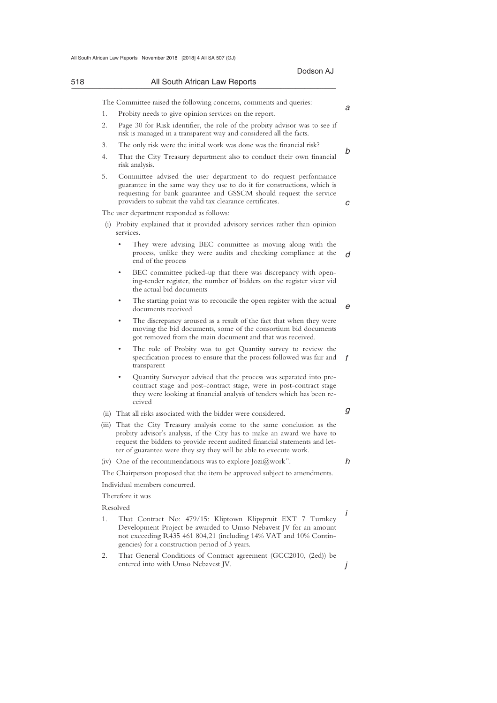|    | Dodson AJ                                                                                                                                                                                                                                                                                               |
|----|---------------------------------------------------------------------------------------------------------------------------------------------------------------------------------------------------------------------------------------------------------------------------------------------------------|
|    | All South African Law Reports                                                                                                                                                                                                                                                                           |
|    | The Committee raised the following concerns, comments and queries:                                                                                                                                                                                                                                      |
| 1. | Probity needs to give opinion services on the report.                                                                                                                                                                                                                                                   |
| 2. | Page 30 for Risk identifier, the role of the probity advisor was to see if<br>risk is managed in a transparent way and considered all the facts.                                                                                                                                                        |
| 3. | The only risk were the initial work was done was the financial risk?                                                                                                                                                                                                                                    |
| 4. | That the City Treasury department also to conduct their own financial<br>risk analysis.                                                                                                                                                                                                                 |
| 5. | Committee advised the user department to do request performance<br>guarantee in the same way they use to do it for constructions, which is<br>requesting for bank guarantee and GSSCM should request the service<br>providers to submit the valid tax clearance certificates.                           |
|    | The user department responded as follows:                                                                                                                                                                                                                                                               |
|    | (i) Probity explained that it provided advisory services rather than opinion<br>services.                                                                                                                                                                                                               |
|    | ٠<br>They were advising BEC committee as moving along with the<br>process, unlike they were audits and checking compliance at the<br>end of the process                                                                                                                                                 |
|    | BEC committee picked-up that there was discrepancy with open-<br>٠<br>ing-tender register, the number of bidders on the register vicar vid<br>the actual bid documents                                                                                                                                  |
|    | The starting point was to reconcile the open register with the actual<br>٠<br>documents received                                                                                                                                                                                                        |
|    | The discrepancy aroused as a result of the fact that when they were<br>٠<br>moving the bid documents, some of the consortium bid documents<br>got removed from the main document and that was received.                                                                                                 |
|    | The role of Probity was to get Quantity survey to review the<br>٠<br>specification process to ensure that the process followed was fair and<br>transparent                                                                                                                                              |
|    | Quantity Surveyor advised that the process was separated into pre-<br>contract stage and post-contract stage, were in post-contract stage<br>they were looking at financial analysis of tenders which has been re-<br>ceived                                                                            |
|    | (ii) That all risks associated with the bidder were considered.                                                                                                                                                                                                                                         |
|    | (iii) That the City Treasury analysis come to the same conclusion as the<br>probity advisor's analysis, if the City has to make an award we have to<br>request the bidders to provide recent audited financial statements and let-<br>ter of guarantee were they say they will be able to execute work. |
|    | (iv) One of the recommendations was to explore $Jozi(\omega)$ work".                                                                                                                                                                                                                                    |
|    | The Chairperson proposed that the item be approved subject to amendments.                                                                                                                                                                                                                               |
|    | Individual members concurred.                                                                                                                                                                                                                                                                           |
|    | Therefore it was                                                                                                                                                                                                                                                                                        |
|    | Resolved                                                                                                                                                                                                                                                                                                |
| 1. | That Contract No: 479/15: Kliptown Klipspruit EXT 7 Turnkey<br>Development Project be awarded to Umso Nebavest JV for an amount<br>not exceeding R435 461 804,21 (including 14% VAT and 10% Contin-<br>gencies) for a construction period of 3 years.                                                   |
| 2. | That General Conditions of Contract agreement (GCC2010, (2ed)) be                                                                                                                                                                                                                                       |
|    | entered into with Umso Nebavest JV.                                                                                                                                                                                                                                                                     |
|    |                                                                                                                                                                                                                                                                                                         |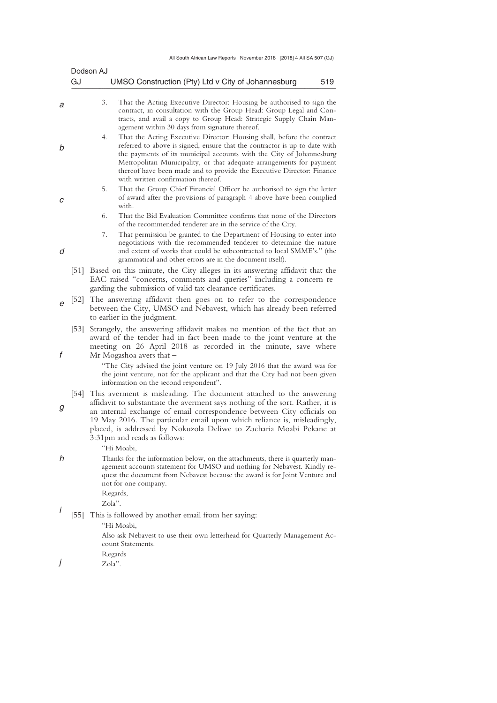| GJ                | Dodson AJ<br>UMSO Construction (Pty) Ltd v City of Johannesburg<br>519                                                                                                                                                                                                                                                                                                                                                                                           |
|-------------------|------------------------------------------------------------------------------------------------------------------------------------------------------------------------------------------------------------------------------------------------------------------------------------------------------------------------------------------------------------------------------------------------------------------------------------------------------------------|
|                   | 3.<br>That the Acting Executive Director: Housing be authorised to sign the<br>contract, in consultation with the Group Head: Group Legal and Con-<br>tracts, and avail a copy to Group Head: Strategic Supply Chain Man-<br>agement within 30 days from signature thereof.                                                                                                                                                                                      |
|                   | 4.<br>That the Acting Executive Director: Housing shall, before the contract<br>referred to above is signed, ensure that the contractor is up to date with<br>the payments of its municipal accounts with the City of Johannesburg<br>Metropolitan Municipality, or that adequate arrangements for payment<br>thereof have been made and to provide the Executive Director: Finance<br>with written confirmation thereof.                                        |
|                   | 5.<br>That the Group Chief Financial Officer be authorised to sign the letter<br>of award after the provisions of paragraph 4 above have been complied<br>with.                                                                                                                                                                                                                                                                                                  |
|                   | That the Bid Evaluation Committee confirms that none of the Directors<br>6.<br>of the recommended tenderer are in the service of the City.                                                                                                                                                                                                                                                                                                                       |
|                   | That permission be granted to the Department of Housing to enter into<br>7.<br>negotiations with the recommended tenderer to determine the nature<br>and extent of works that could be subcontracted to local SMME's." (the<br>grammatical and other errors are in the document itself).                                                                                                                                                                         |
| [51]              | Based on this minute, the City alleges in its answering affidavit that the<br>EAC raised "concerns, comments and queries" including a concern re-<br>garding the submission of valid tax clearance certificates.                                                                                                                                                                                                                                                 |
| $[52]$            | The answering affidavit then goes on to refer to the correspondence<br>between the City, UMSO and Nebavest, which has already been referred<br>to earlier in the judgment.                                                                                                                                                                                                                                                                                       |
| $\left[53\right]$ | Strangely, the answering affidavit makes no mention of the fact that an<br>award of the tender had in fact been made to the joint venture at the<br>meeting on 26 April 2018 as recorded in the minute, save where<br>Mr Mogashoa avers that $-$<br>"The City advised the joint venture on 19 July 2016 that the award was for<br>the joint venture, not for the applicant and that the City had not been given                                                  |
|                   | information on the second respondent".<br>[54] This averment is misleading. The document attached to the answering<br>affidavit to substantiate the averment says nothing of the sort. Rather, it is<br>an internal exchange of email correspondence between City officials on<br>19 May 2016. The particular email upon which reliance is, misleadingly,<br>placed, is addressed by Nokuzola Deliwe to Zacharia Moabi Pekane at<br>3:31pm and reads as follows: |
|                   | "Hi Moabi,<br>Thanks for the information below, on the attachments, there is quarterly man-<br>agement accounts statement for UMSO and nothing for Nebavest. Kindly re-<br>quest the document from Nebavest because the award is for Joint Venture and<br>not for one company.<br>Regards,<br>Zola".                                                                                                                                                             |
| [55]              | This is followed by another email from her saying:<br>"Hi Moabi,<br>Also ask Nebavest to use their own letterhead for Quarterly Management Ac-<br>count Statements.<br>Regards<br>Zola".                                                                                                                                                                                                                                                                         |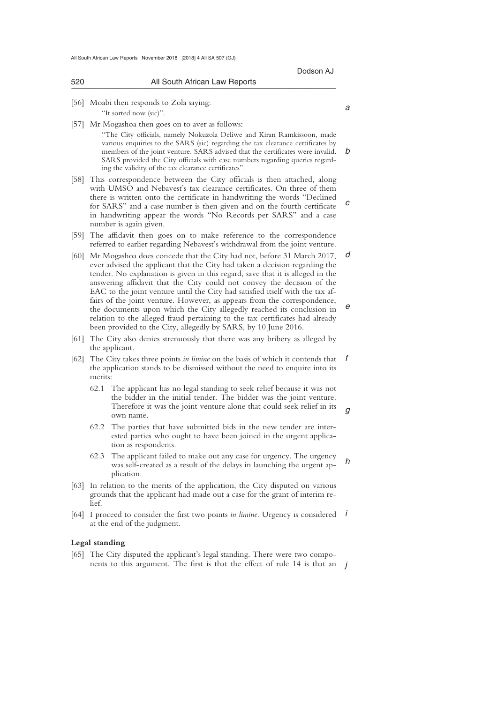|        | Dodson AJ                                                                                                                                                                                                                                                                                                                                                                                                                           |
|--------|-------------------------------------------------------------------------------------------------------------------------------------------------------------------------------------------------------------------------------------------------------------------------------------------------------------------------------------------------------------------------------------------------------------------------------------|
| 520    | All South African Law Reports                                                                                                                                                                                                                                                                                                                                                                                                       |
| [56]   | Moabi then responds to Zola saying:<br>"It sorted now (sic)".                                                                                                                                                                                                                                                                                                                                                                       |
| $[57]$ | Mr Mogashoa then goes on to aver as follows:<br>"The City officials, namely Nokuzola Deliwe and Kiran Ramkissoon, made<br>various enquiries to the SARS (sic) regarding the tax clearance certificates by<br>members of the joint venture. SARS advised that the certificates were invalid.<br>SARS provided the City officials with case numbers regarding queries regard-<br>ing the validity of the tax clearance certificates". |
| $[58]$ | This correspondence between the City officials is then attached, along<br>with UMSO and Nebavest's tax clearance certificates. On three of them<br>there is written onto the certificate in handwriting the words "Declined<br>for SARS" and a case number is then given and on the fourth certificate<br>in handwriting appear the words "No Records per SARS" and a case<br>number is again given.                                |
| [59]   | The affidavit then goes on to make reference to the correspondence<br>referred to earlier regarding Nebavest's withdrawal from the joint venture.                                                                                                                                                                                                                                                                                   |
| [60]   | Mr Mogashoa does concede that the City had not, before 31 March 2017,<br>ever advised the applicant that the City had taken a decision regarding the<br>tender. No explanation is given in this regard, save that it is alleged in the<br>answering affidavit that the City could not convey the decision of the<br>EAC to the joint venture until the City had satisfied itself with the tax af-                                   |
|        | fairs of the joint venture. However, as appears from the correspondence,<br>the documents upon which the City allegedly reached its conclusion in<br>relation to the alleged fraud pertaining to the tax certificates had already<br>been provided to the City, allegedly by SARS, by 10 June 2016.                                                                                                                                 |
| [61]   | The City also denies strenuously that there was any bribery as alleged by<br>the applicant.                                                                                                                                                                                                                                                                                                                                         |
| [62]   | The City takes three points in limine on the basis of which it contends that<br>the application stands to be dismissed without the need to enquire into its<br>merits:                                                                                                                                                                                                                                                              |
|        | The applicant has no legal standing to seek relief because it was not<br>62.1<br>the bidder in the initial tender. The bidder was the joint venture.<br>Therefore it was the joint venture alone that could seek relief in its<br>own name.                                                                                                                                                                                         |
|        | 62.2<br>The parties that have submitted bids in the new tender are inter-<br>ested parties who ought to have been joined in the urgent applica-<br>tion as respondents.                                                                                                                                                                                                                                                             |
|        |                                                                                                                                                                                                                                                                                                                                                                                                                                     |

- *h*  62.3 The applicant failed to make out any case for urgency. The urgency was self-created as a result of the delays in launching the urgent application.
- [63] In relation to the merits of the application, the City disputed on various grounds that the applicant had made out a case for the grant of interim relief.
- [64] I proceed to consider the first two points *in limine*. Urgency is considered *i* at the end of the judgment.

## **Legal standing**

nents to this argument. The first is that the effect of rule  $14$  is that an  $j$ [65] The City disputed the applicant's legal standing. There were two compo-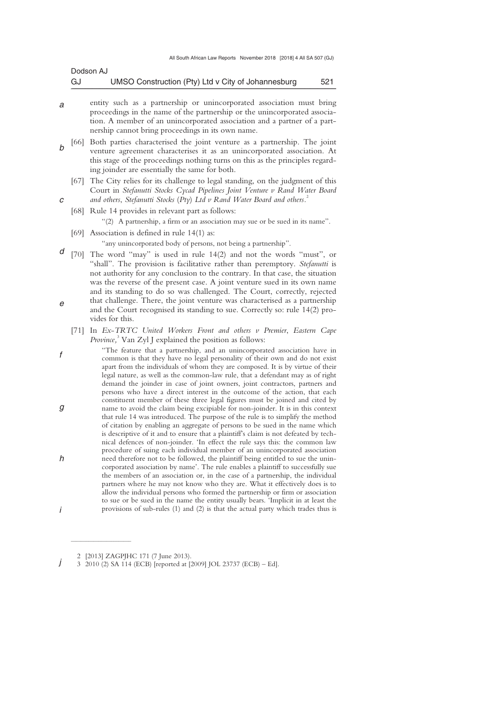| Dodson AJ |                                                    |     |
|-----------|----------------------------------------------------|-----|
| GJ        | UMSO Construction (Pty) Ltd v City of Johannesburg | 521 |

- *a*  entity such as a partnership or unincorporated association must bring proceedings in the name of the partnership or the unincorporated association. A member of an unincorporated association and a partner of a partnership cannot bring proceedings in its own name.
- *b*  [66] Both parties characterised the joint venture as a partnership. The joint venture agreement characterises it as an unincorporated association. At this stage of the proceedings nothing turns on this as the principles regarding joinder are essentially the same for both.
	- [67] The City relies for its challenge to legal standing, on the judgment of this Court in *Stefanutti Stocks Cycad Pipelines Joint Venture v Rand Water Board and others*, *Stefanutti Stocks* (*Pty*) *Ltd v Rand Water Board and others.*<sup>2</sup>
	- [68] Rule 14 provides in relevant part as follows:

"(2) A partnership, a firm or an association may sue or be sued in its name".

[69] Association is defined in rule 14(1) as:

*c* 

"any unincorporated body of persons, not being a partnership".

- *d e*  [70] The word "may" is used in rule 14(2) and not the words "must", or "shall". The provision is facilitative rather than peremptory. *Stefanutti* is not authority for any conclusion to the contrary. In that case, the situation was the reverse of the present case. A joint venture sued in its own name and its standing to do so was challenged. The Court, correctly, rejected that challenge. There, the joint venture was characterised as a partnership and the Court recognised its standing to sue. Correctly so: rule 14(2) provides for this.
	- [71] In *Ex*-*TRTC United Workers Front and others v Premier*, *Eastern Cape*  Province,<sup>3</sup> Van Zyl J explained the position as follows:
- *f g h i*  "The feature that a partnership, and an unincorporated association have in common is that they have no legal personality of their own and do not exist apart from the individuals of whom they are composed. It is by virtue of their legal nature, as well as the common-law rule, that a defendant may as of right demand the joinder in case of joint owners, joint contractors, partners and persons who have a direct interest in the outcome of the action, that each constituent member of these three legal figures must be joined and cited by name to avoid the claim being excipiable for non-joinder. It is in this context that rule 14 was introduced. The purpose of the rule is to simplify the method of citation by enabling an aggregate of persons to be sued in the name which is descriptive of it and to ensure that a plaintiff's claim is not defeated by technical defences of non-joinder. 'In effect the rule says this: the common law procedure of suing each individual member of an unincorporated association need therefore not to be followed, the plaintiff being entitled to sue the unincorporated association by name'. The rule enables a plaintiff to successfully sue the members of an association or, in the case of a partnership, the individual partners where he may not know who they are. What it effectively does is to allow the individual persons who formed the partnership or firm or association to sue or be sued in the name the entity usually bears. 'Implicit in at least the provisions of sub-rules (1) and (2) is that the actual party which trades thus is

 $\overline{\phantom{a}}$  , where  $\overline{\phantom{a}}$ 

 <sup>2 [2013]</sup> ZAGPJHC 171 (7 June 2013).

*j*  3 2010 (2) SA 114 (ECB) [reported at [2009] JOL 23737 (ECB) – Ed].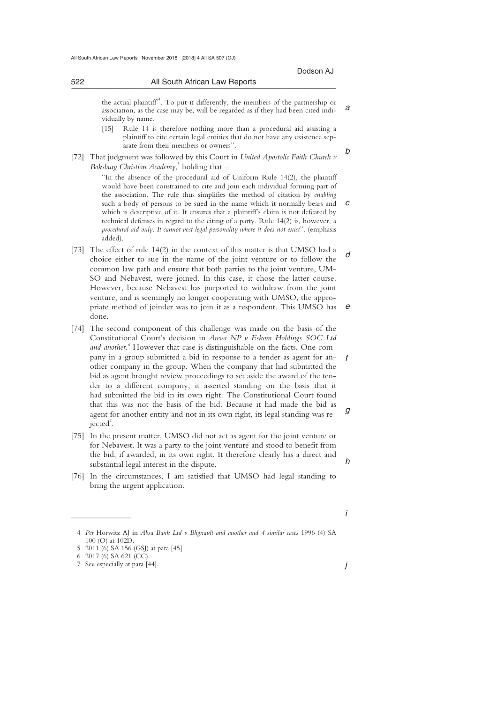*b* 

*a*  the actual plaintiff<sup>4</sup>. To put it differently, the members of the partnership or association, as the case may be, will be regarded as if they had been cited individually by name.

- [15] Rule 14 is therefore nothing more than a procedural aid assisting a plaintiff to cite certain legal entities that do not have any existence separate from their members or owners".
- [72] That judgment was followed by this Court in *United Apostolic Faith Church v Boksburg Christian Academy*, <sup>5</sup> holding that –

\_\_\_\_\_\_\_\_\_\_\_\_\_\_\_\_\_\_\_\_\_\_\_\_\_\_\_\_\_\_\_\_\_\_\_\_\_\_\_\_\_\_\_\_\_\_\_\_\_\_\_\_\_\_\_\_\_\_\_\_\_\_\_\_\_\_\_\_\_\_\_\_\_\_\_\_\_\_\_\_\_\_\_\_\_\_\_\_\_\_\_\_\_\_\_\_\_\_\_\_\_\_\_\_\_\_\_\_\_\_\_\_\_\_\_\_\_\_\_\_\_\_\_\_\_\_\_\_\_\_\_\_\_\_\_\_\_\_\_\_\_\_\_

*c*  "In the absence of the procedural aid of Uniform Rule 14(2), the plaintiff would have been constrained to cite and join each individual forming part of the association. The rule thus simplifies the method of citation by *enabling* such a body of persons to be sued in the name which it normally bears and which is descriptive of it. It ensures that a plaintiff's claim is not defeated by technical defenses in regard to the citing of a party. Rule 14(2) is, however, *a procedural aid only*. *It cannot vest legal personality where it does not exist*". (emphasis added).

- *d e*  [73] The effect of rule 14(2) in the context of this matter is that UMSO had a choice either to sue in the name of the joint venture or to follow the common law path and ensure that both parties to the joint venture, UM-SO and Nebavest, were joined. In this case, it chose the latter course. However, because Nebavest has purported to withdraw from the joint venture, and is seemingly no longer cooperating with UMSO, the appropriate method of joinder was to join it as a respondent. This UMSO has done.
- *f g*  [74] The second component of this challenge was made on the basis of the Constitutional Court's decision in *Areva NP v Eskom Holdings SOC Ltd*  and another.<sup>6</sup> However that case is distinguishable on the facts. One company in a group submitted a bid in response to a tender as agent for another company in the group. When the company that had submitted the bid as agent brought review proceedings to set aside the award of the tender to a different company, it asserted standing on the basis that it had submitted the bid in its own right. The Constitutional Court found that this was not the basis of the bid. Because it had made the bid as agent for another entity and not in its own right, its legal standing was rejected<sup>7</sup>.
- [75] In the present matter, UMSO did not act as agent for the joint venture or for Nebavest. It was a party to the joint venture and stood to benefit from the bid, if awarded, in its own right. It therefore clearly has a direct and substantial legal interest in the dispute.
- [76] In the circumstances, I am satisfied that UMSO had legal standing to bring the urgent application.

*h* 

 $\overline{\phantom{a}}$  , where  $\overline{\phantom{a}}$ 

*i* 

 <sup>4</sup> *Per* Horwitz AJ in *Absa Bank Ltd v Blignault and another and 4 similar cases* 1996 (4) SA 100 (O) at 102D.

 <sup>5 2011 (6)</sup> SA 156 (GSJ) at para [45]. 6 2017 (6) SA 621 (CC).

 <sup>7</sup> See especially at para [44].

*j*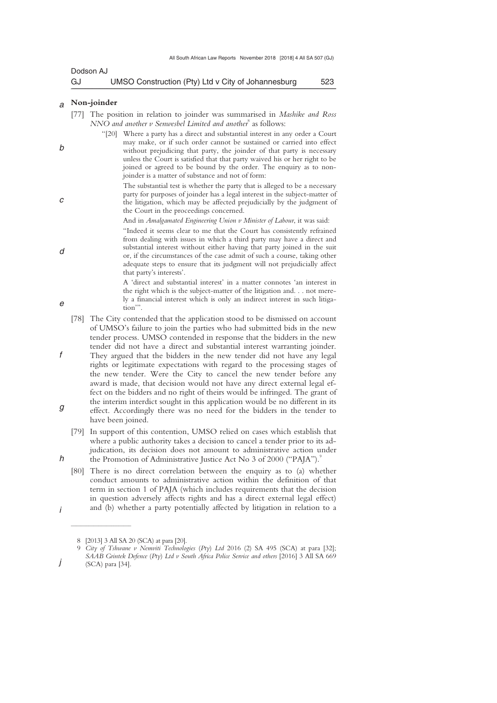| Dodson AJ |                                                    |     |
|-----------|----------------------------------------------------|-----|
| GJ        | UMSO Construction (Pty) Ltd v City of Johannesburg | 523 |

#### *a*  **Non-joinder**

*b* 

*c* 

*d* 

*e* 

*f* 

*h* 

*i* 

*j* 

- [77] The position in relation to joinder was summarised in *Mashike and Ross NNO and another v Senwesbel Limited and another*<sup>8</sup> as follows:
	- "[20] Where a party has a direct and substantial interest in any order a Court may make, or if such order cannot be sustained or carried into effect without prejudicing that party, the joinder of that party is necessary unless the Court is satisfied that that party waived his or her right to be joined or agreed to be bound by the order. The enquiry as to nonjoinder is a matter of substance and not of form:
		- The substantial test is whether the party that is alleged to be a necessary party for purposes of joinder has a legal interest in the subject-matter of the litigation, which may be affected prejudicially by the judgment of the Court in the proceedings concerned.

And in *Amalgamated Engineering Union v Minister of Labour*, it was said:

- "Indeed it seems clear to me that the Court has consistently refrained from dealing with issues in which a third party may have a direct and substantial interest without either having that party joined in the suit or, if the circumstances of the case admit of such a course, taking other adequate steps to ensure that its judgment will not prejudicially affect that party's interests'.
	- A 'direct and substantial interest' in a matter connotes 'an interest in the right which is the subject-matter of the litigation and. . . not merely a financial interest which is only an indirect interest in such litigation'".
- [78] The City contended that the application stood to be dismissed on account of UMSO's failure to join the parties who had submitted bids in the new tender process. UMSO contended in response that the bidders in the new tender did not have a direct and substantial interest warranting joinder. They argued that the bidders in the new tender did not have any legal rights or legitimate expectations with regard to the processing stages of
- *g*  the new tender. Were the City to cancel the new tender before any award is made, that decision would not have any direct external legal effect on the bidders and no right of theirs would be infringed. The grant of the interim interdict sought in this application would be no different in its effect. Accordingly there was no need for the bidders in the tender to have been joined.
	- [79] In support of this contention, UMSO relied on cases which establish that where a public authority takes a decision to cancel a tender prior to its adjudication, its decision does not amount to administrative action under the Promotion of Administrative Justice Act No 3 of 2000 ("PAJA").<sup>9</sup>
	- [80] There is no direct correlation between the enquiry as to (a) whether conduct amounts to administrative action within the definition of that term in section 1 of PAJA (which includes requirements that the decision in question adversely affects rights and has a direct external legal effect) and (b) whether a party potentially affected by litigation in relation to a

 $\frac{1}{2}$  , and the set of the set of the set of the set of the set of the set of the set of the set of the set of the set of the set of the set of the set of the set of the set of the set of the set of the set of the set

 <sup>8 [2013] 3</sup> All SA 20 (SCA) at para [20].

 <sup>9</sup> *City of Tshwane v Nemviti Technologies* (*Pty*) *Ltd* 2016 (2) SA 495 (SCA) at para [32]; *SAAB Grintek Defence* (*Pty*) *Ltd v South Africa Police Service and others* [2016] 3 All SA 669 (SCA) para [34].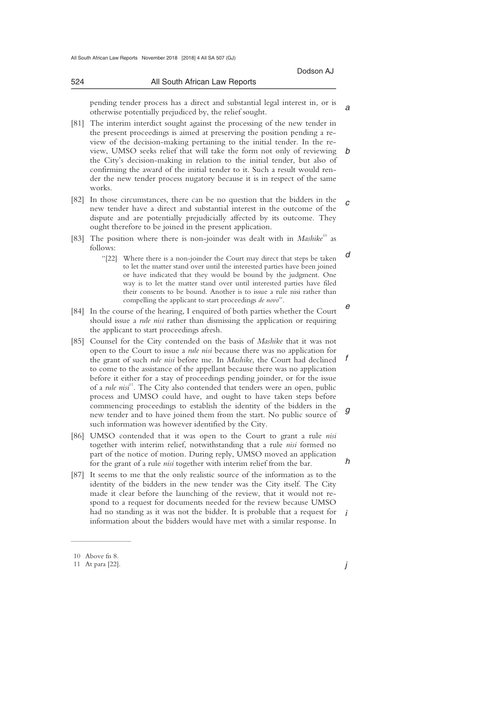#### 524 All South African Law Reports \_\_\_\_\_\_\_\_\_\_\_\_\_\_\_\_\_\_\_\_\_\_\_\_\_\_\_\_\_\_\_\_\_\_\_\_\_\_\_\_\_\_\_\_\_\_\_\_\_\_\_\_\_\_\_\_\_\_\_\_\_\_\_\_\_\_\_\_\_\_\_\_\_\_\_\_\_\_\_\_\_\_\_\_\_\_\_\_\_\_\_\_\_\_\_\_\_\_\_\_\_\_\_\_\_\_\_\_\_\_\_\_\_\_\_\_\_\_\_\_\_\_\_\_\_\_\_\_\_\_\_\_\_\_\_\_\_\_\_\_\_\_\_

*a*  pending tender process has a direct and substantial legal interest in, or is otherwise potentially prejudiced by, the relief sought.

*b*  [81] The interim interdict sought against the processing of the new tender in the present proceedings is aimed at preserving the position pending a review of the decision-making pertaining to the initial tender. In the review, UMSO seeks relief that will take the form not only of reviewing the City's decision-making in relation to the initial tender, but also of confirming the award of the initial tender to it. Such a result would render the new tender process nugatory because it is in respect of the same works.

*c*  [82] In those circumstances, there can be no question that the bidders in the new tender have a direct and substantial interest in the outcome of the dispute and are potentially prejudicially affected by its outcome. They ought therefore to be joined in the present application.

- [83] The position where there is non-joinder was dealt with in *Mashike*<sup>10</sup> as follows:
	- *d*  "[22] Where there is a non-joinder the Court may direct that steps be taken to let the matter stand over until the interested parties have been joined or have indicated that they would be bound by the judgment. One way is to let the matter stand over until interested parties have filed their consents to be bound. Another is to issue a rule nisi rather than compelling the applicant to start proceedings *de novo*".
- *e*  [84] In the course of the hearing, I enquired of both parties whether the Court should issue a *rule nisi* rather than dismissing the application or requiring the applicant to start proceedings afresh.
- *f g*  [85] Counsel for the City contended on the basis of *Mashike* that it was not open to the Court to issue a *rule nisi* because there was no application for the grant of such *rule nisi* before me. In *Mashike*, the Court had declined to come to the assistance of the appellant because there was no application before it either for a stay of proceedings pending joinder, or for the issue of a *rule nisi*<sup>11</sup>. The City also contended that tenders were an open, public process and UMSO could have, and ought to have taken steps before commencing proceedings to establish the identity of the bidders in the new tender and to have joined them from the start. No public source of such information was however identified by the City.
- [86] UMSO contended that it was open to the Court to grant a rule *nisi*  together with interim relief, notwithstanding that a rule *nisi* formed no part of the notice of motion. During reply, UMSO moved an application for the grant of a rule *nisi* together with interim relief from the bar.
- *i*  [87] It seems to me that the only realistic source of the information as to the identity of the bidders in the new tender was the City itself. The City made it clear before the launching of the review, that it would not respond to a request for documents needed for the review because UMSO had no standing as it was not the bidder. It is probable that a request for information about the bidders would have met with a similar response. In

 $\overline{\phantom{a}}$  , where  $\overline{\phantom{a}}$ 

*h* 

 <sup>10</sup> Above fn 8.

 <sup>11</sup> At para [22].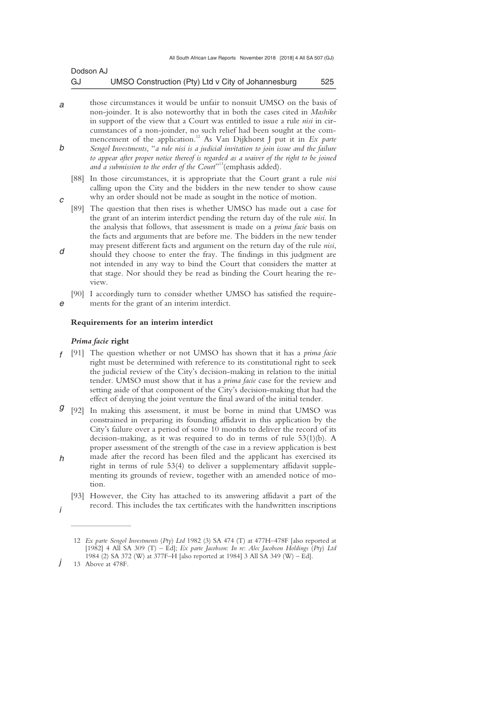| Dodson AJ |                                                    |     |
|-----------|----------------------------------------------------|-----|
| GJ        | UMSO Construction (Pty) Ltd v City of Johannesburg | 525 |

- *a b*  those circumstances it would be unfair to nonsuit UMSO on the basis of non-joinder. It is also noteworthy that in both the cases cited in *Mashike*  in support of the view that a Court was entitled to issue a rule *nisi* in circumstances of a non-joinder, no such relief had been sought at the commencement of the application.<sup>12</sup> As Van Dijkhorst J put it in  $Ex$  parte *Sengol Investments*, "*a rule nisi is a judicial invitation to join issue and the failure to appear after proper notice thereof is regarded as a waiver of the right to be joined and a submission to the order of the Court*" 13(emphasis added).
	- [88] In those circumstances, it is appropriate that the Court grant a rule *nisi*  calling upon the City and the bidders in the new tender to show cause why an order should not be made as sought in the notice of motion.
- [89] The question that then rises is whether UMSO has made out a case for the grant of an interim interdict pending the return day of the rule *nisi*. In the analysis that follows, that assessment is made on a *prima facie* basis on the facts and arguments that are before me. The bidders in the new tender may present different facts and argument on the return day of the rule *nisi*,
- should they choose to enter the fray. The findings in this judgment are not intended in any way to bind the Court that considers the matter at that stage. Nor should they be read as binding the Court hearing the review.
- *e*  [90] I accordingly turn to consider whether UMSO has satisfied the requirements for the grant of an interim interdict.

### **Requirements for an interim interdict**

### *Prima facie* **right**

- *f*  [91] The question whether or not UMSO has shown that it has a *prima facie*  right must be determined with reference to its constitutional right to seek the judicial review of the City's decision-making in relation to the initial tender. UMSO must show that it has a *prima facie* case for the review and setting aside of that component of the City's decision-making that had the effect of denying the joint venture the final award of the initial tender.
- *g*  [92] In making this assessment, it must be borne in mind that UMSO was constrained in preparing its founding affidavit in this application by the City's failure over a period of some 10 months to deliver the record of its decision-making, as it was required to do in terms of rule 53(1)(b). A proper assessment of the strength of the case in a review application is best
- *h*  made after the record has been filed and the applicant has exercised its right in terms of rule 53(4) to deliver a supplementary affidavit supplementing its grounds of review, together with an amended notice of motion.
	- [93] However, the City has attached to its answering affidavit a part of the record. This includes the tax certificates with the handwritten inscriptions

 $\frac{1}{2}$  , and the set of the set of the set of the set of the set of the set of the set of the set of the set of the set of the set of the set of the set of the set of the set of the set of the set of the set of the set

*i* 

*d* 

*c* 

 <sup>12</sup> *Ex parte Sengol Investments* (*Pty*) *Ltd* 1982 (3) SA 474 (T) at 477H–478F [also reported at [1982] 4 All SA 309 (T) – Ed]; *Ex parte Jacobson*: *In re*: *Alec Jacobson Holdings* (*Pty*) *Ltd*  1984 (2) SA 372 (W) at 377F–H [also reported at 1984] 3 All SA 349 (W) – Ed].

*j*  13 Above at 478F.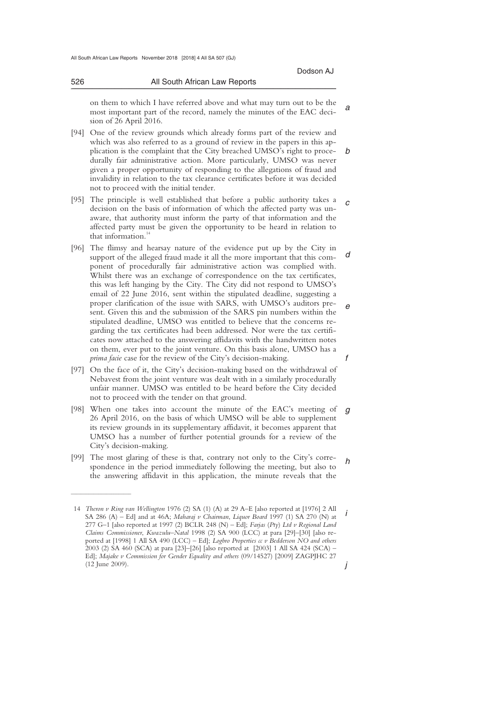*a*  on them to which I have referred above and what may turn out to be the most important part of the record, namely the minutes of the EAC decision of 26 April 2016.

\_\_\_\_\_\_\_\_\_\_\_\_\_\_\_\_\_\_\_\_\_\_\_\_\_\_\_\_\_\_\_\_\_\_\_\_\_\_\_\_\_\_\_\_\_\_\_\_\_\_\_\_\_\_\_\_\_\_\_\_\_\_\_\_\_\_\_\_\_\_\_\_\_\_\_\_\_\_\_\_\_\_\_\_\_\_\_\_\_\_\_\_\_\_\_\_\_\_\_\_\_\_\_\_\_\_\_\_\_\_\_\_\_\_\_\_\_\_\_\_\_\_\_\_\_\_\_\_\_\_\_\_\_\_\_\_\_\_\_\_\_\_\_

- *b*  [94] One of the review grounds which already forms part of the review and which was also referred to as a ground of review in the papers in this application is the complaint that the City breached UMSO's right to procedurally fair administrative action. More particularly, UMSO was never given a proper opportunity of responding to the allegations of fraud and invalidity in relation to the tax clearance certificates before it was decided not to proceed with the initial tender.
- *c*  [95] The principle is well established that before a public authority takes a decision on the basis of information of which the affected party was unaware, that authority must inform the party of that information and the affected party must be given the opportunity to be heard in relation to that information. $14$
- *d e f*  [96] The flimsy and hearsay nature of the evidence put up by the City in support of the alleged fraud made it all the more important that this component of procedurally fair administrative action was complied with. Whilst there was an exchange of correspondence on the tax certificates, this was left hanging by the City. The City did not respond to UMSO's email of 22 June 2016, sent within the stipulated deadline, suggesting a proper clarification of the issue with SARS, with UMSO's auditors present. Given this and the submission of the SARS pin numbers within the stipulated deadline, UMSO was entitled to believe that the concerns regarding the tax certificates had been addressed. Nor were the tax certificates now attached to the answering affidavits with the handwritten notes on them, ever put to the joint venture. On this basis alone, UMSO has a *prima facie* case for the review of the City's decision-making.
- [97] On the face of it, the City's decision-making based on the withdrawal of Nebavest from the joint venture was dealt with in a similarly procedurally unfair manner. UMSO was entitled to be heard before the City decided not to proceed with the tender on that ground.
- *g*  [98] When one takes into account the minute of the EAC's meeting of 26 April 2016, on the basis of which UMSO will be able to supplement its review grounds in its supplementary affidavit, it becomes apparent that UMSO has a number of further potential grounds for a review of the City's decision-making.
- *h*  [99] The most glaring of these is that, contrary not only to the City's correspondence in the period immediately following the meeting, but also to the answering affidavit in this application, the minute reveals that the

 $\overline{\phantom{a}}$  , where  $\overline{\phantom{a}}$ 

*i j*  14 *Theron v Ring van Wellington* 1976 (2) SA (1) (A) at 29 A–E [also reported at [1976] 2 All SA 286 (A) – Ed] and at 46A; *Maharaj v Chairman*, *Liquor Board* 1997 (1) SA 270 (N) at 277 G–1 [also reported at 1997 (2) BCLR 248 (N) – Ed]; *Farjas* (*Pty*) *Ltd v Regional Land Claims Commissioner*, *Kwazulu*–*Natal* 1998 (2) SA 900 (LCC) at para [29]–[30] [also reported at [1998] 1 All SA 490 (LCC) – Ed]; *Logbro Properties cc v Bedderson NO and others*  2003 (2) SA 460 (SCA) at para [23]–[26] [also reported at [2003] 1 All SA 424 (SCA) – Ed]; *Majake v Commission for Gender Equality and others* (09/14527) [2009] ZAGPJHC 27 (12 June 2009).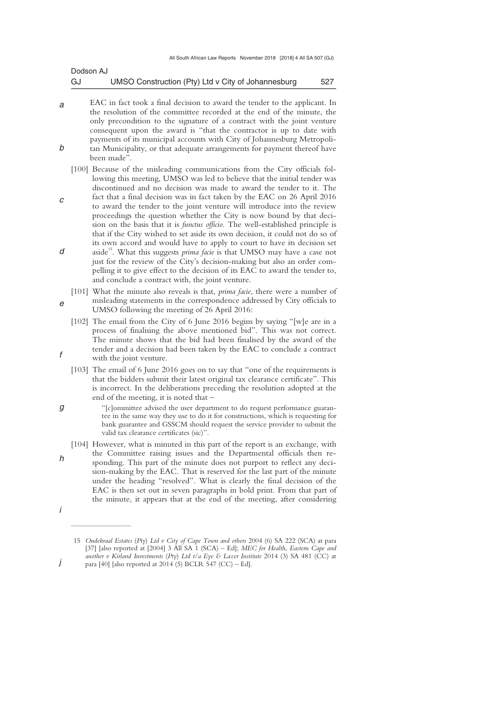| Dodson AJ |                                                    |     |
|-----------|----------------------------------------------------|-----|
| GJ        | UMSO Construction (Pty) Ltd v City of Johannesburg | 527 |

- *a b*  EAC in fact took a final decision to award the tender to the applicant. In the resolution of the committee recorded at the end of the minute, the only precondition to the signature of a contract with the joint venture consequent upon the award is "that the contractor is up to date with payments of its municipal accounts with City of Johannesburg Metropolitan Municipality, or that adequate arrangements for payment thereof have been made".
	- [100] Because of the misleading communications from the City officials following this meeting, UMSO was led to believe that the initial tender was discontinued and no decision was made to award the tender to it. The
- *c d*  fact that a final decision was in fact taken by the EAC on 26 April 2016 to award the tender to the joint venture will introduce into the review proceedings the question whether the City is now bound by that decision on the basis that it is *functus officio*. The well-established principle is that if the City wished to set aside its own decision, it could not do so of its own accord and would have to apply to court to have its decision set aside<sup>15</sup>. What this suggests *prima facie* is that UMSO may have a case not
- just for the review of the City's decision-making but also an order compelling it to give effect to the decision of its EAC to award the tender to, and conclude a contract with, the joint venture.
- *e*  [101] What the minute also reveals is that, *prima facie*, there were a number of misleading statements in the correspondence addressed by City officials to UMSO following the meeting of 26 April 2016:
	- [102] The email from the City of 6 June 2016 begins by saying "[w]e are in a process of finalising the above mentioned bid". This was not correct. The minute shows that the bid had been finalised by the award of the tender and a decision had been taken by the EAC to conclude a contract with the joint venture.
	- [103] The email of 6 June 2016 goes on to say that "one of the requirements is that the bidders submit their latest original tax clearance certificate". This is incorrect. In the deliberations preceding the resolution adopted at the end of the meeting, it is noted that –
	- "[c]ommittee advised the user department to do request performance guarantee in the same way they use to do it for constructions, which is requesting for bank guarantee and GSSCM should request the service provider to submit the valid tax clearance certificates (sic)".
	- [104] However, what is minuted in this part of the report is an exchange, with the Committee raising issues and the Departmental officials then responding. This part of the minute does not purport to reflect any decision-making by the EAC. That is reserved for the last part of the minute under the heading "resolved". What is clearly the final decision of the EAC is then set out in seven paragraphs in bold print. From that part of the minute, it appears that at the end of the meeting, after considering

*h* 

*f* 

*g* 

- 
- *i*

 $\frac{1}{2}$  , and the set of the set of the set of the set of the set of the set of the set of the set of the set of the set of the set of the set of the set of the set of the set of the set of the set of the set of the set

*j* 

 <sup>15</sup> *Oudekraal Estates* (*Pty*) *Ltd v City of Cape Town and others* 2004 (6) SA 222 (SCA) at para [37] [also reported at [2004] 3 All SA 1 (SCA) – Ed]; *MEC for Health*, *Eastern Cape and another v Kirland Investments* (*Pty*) *Ltd t*/*a Eye & Lazer Institute* 2014 (3) SA 481 (CC) at para [40] [also reported at 2014 (5) BCLR 547 (CC) – Ed].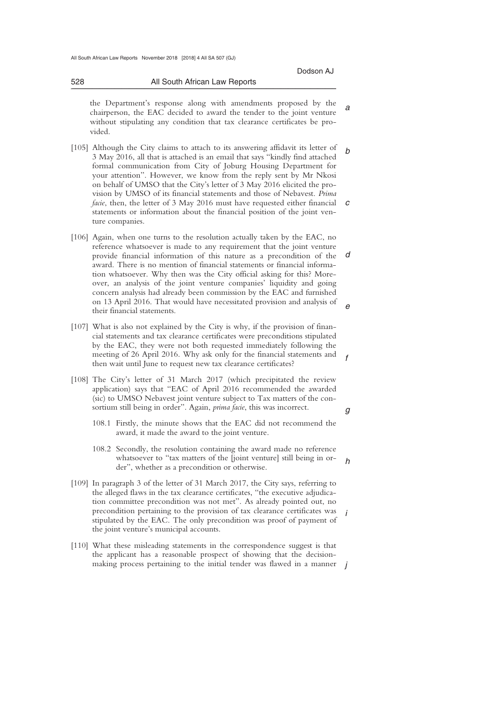*a*  the Department's response along with amendments proposed by the chairperson, the EAC decided to award the tender to the joint venture without stipulating any condition that tax clearance certificates be provided.

\_\_\_\_\_\_\_\_\_\_\_\_\_\_\_\_\_\_\_\_\_\_\_\_\_\_\_\_\_\_\_\_\_\_\_\_\_\_\_\_\_\_\_\_\_\_\_\_\_\_\_\_\_\_\_\_\_\_\_\_\_\_\_\_\_\_\_\_\_\_\_\_\_\_\_\_\_\_\_\_\_\_\_\_\_\_\_\_\_\_\_\_\_\_\_\_\_\_\_\_\_\_\_\_\_\_\_\_\_\_\_\_\_\_\_\_\_\_\_\_\_\_\_\_\_\_\_\_\_\_\_\_\_\_\_\_\_\_\_\_\_\_\_

- *b c*  [105] Although the City claims to attach to its answering affidavit its letter of 3 May 2016, all that is attached is an email that says "kindly find attached formal communication from City of Joburg Housing Department for your attention". However, we know from the reply sent by Mr Nkosi on behalf of UMSO that the City's letter of 3 May 2016 elicited the provision by UMSO of its financial statements and those of Nebavest. *Prima facie*, then, the letter of 3 May 2016 must have requested either financial statements or information about the financial position of the joint venture companies.
- *d e*  [106] Again, when one turns to the resolution actually taken by the EAC, no reference whatsoever is made to any requirement that the joint venture provide financial information of this nature as a precondition of the award. There is no mention of financial statements or financial information whatsoever. Why then was the City official asking for this? Moreover, an analysis of the joint venture companies' liquidity and going concern analysis had already been commission by the EAC and furnished on 13 April 2016. That would have necessitated provision and analysis of their financial statements.
- [107] What is also not explained by the City is why, if the provision of financial statements and tax clearance certificates were preconditions stipulated by the EAC, they were not both requested immediately following the meeting of 26 April 2016. Why ask only for the financial statements and then wait until June to request new tax clearance certificates?
- [108] The City's letter of 31 March 2017 (which precipitated the review application) says that "EAC of April 2016 recommended the awarded (sic) to UMSO Nebavest joint venture subject to Tax matters of the consortium still being in order". Again, *prima facie*, this was incorrect.
	- 108.1 Firstly, the minute shows that the EAC did not recommend the award, it made the award to the joint venture.
	- *h*  108.2 Secondly, the resolution containing the award made no reference whatsoever to "tax matters of the [joint venture] still being in order", whether as a precondition or otherwise.
- *i*  [109] In paragraph 3 of the letter of 31 March 2017, the City says, referring to the alleged flaws in the tax clearance certificates, "the executive adjudication committee precondition was not met". As already pointed out, no precondition pertaining to the provision of tax clearance certificates was stipulated by the EAC. The only precondition was proof of payment of the joint venture's municipal accounts.
- making process pertaining to the initial tender was flawed in a manner *j* [110] What these misleading statements in the correspondence suggest is that the applicant has a reasonable prospect of showing that the decision-

*g* 

*f*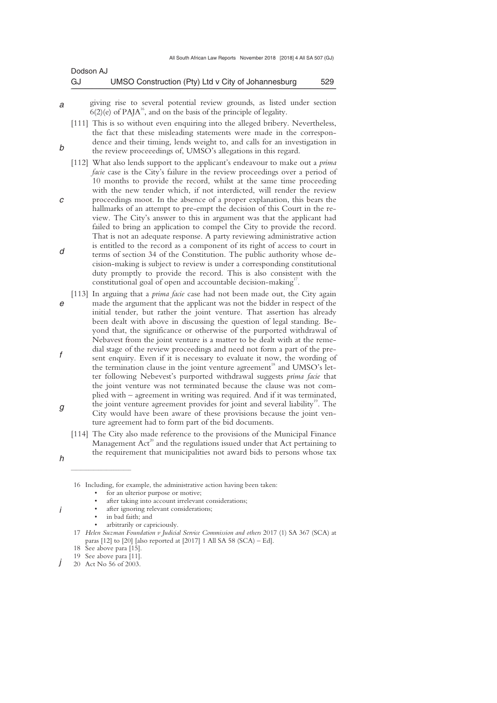| Dodson AJ |                                                    |     |
|-----------|----------------------------------------------------|-----|
| GJ        | UMSO Construction (Pty) Ltd v City of Johannesburg | 529 |

*a*  giving rise to several potential review grounds, as listed under section  $6(2)$ (e) of PAJA<sup>16</sup>, and on the basis of the principle of legality.

[111] This is so without even enquiring into the alleged bribery. Nevertheless, the fact that these misleading statements were made in the correspondence and their timing, lends weight to, and calls for an investigation in the review proceeedings of, UMSO's allegations in this regard.

- [112] What also lends support to the applicant's endeavour to make out a *prima facie* case is the City's failure in the review proceedings over a period of 10 months to provide the record, whilst at the same time proceeding with the new tender which, if not interdicted, will render the review
- *c d*  proceedings moot. In the absence of a proper explanation, this bears the hallmarks of an attempt to pre-empt the decision of this Court in the review. The City's answer to this in argument was that the applicant had failed to bring an application to compel the City to provide the record. That is not an adequate response. A party reviewing administrative action is entitled to the record as a component of its right of access to court in terms of section 34 of the Constitution. The public authority whose decision-making is subject to review is under a corresponding constitutional duty promptly to provide the record. This is also consistent with the
- *e f g*  constitutional goal of open and accountable decision-making<sup>17</sup>. [113] In arguing that a *prima facie* case had not been made out, the City again made the argument that the applicant was not the bidder in respect of the initial tender, but rather the joint venture. That assertion has already been dealt with above in discussing the question of legal standing. Beyond that, the significance or otherwise of the purported withdrawal of Nebavest from the joint venture is a matter to be dealt with at the remedial stage of the review proceedings and need not form a part of the present enquiry. Even if it is necessary to evaluate it now, the wording of the termination clause in the joint venture agreement<sup>18</sup> and UMSO's letter following Nebevest's purported withdrawal suggests *prima facie* that the joint venture was not terminated because the clause was not complied with – agreement in writing was required. And if it was terminated, the joint venture agreement provides for joint and several liability<sup>19</sup>. The
	- City would have been aware of these provisions because the joint venture agreement had to form part of the bid documents.
	- [114] The City also made reference to the provisions of the Municipal Finance Management  $Act^{20}$  and the regulations issued under that Act pertaining to the requirement that municipalities not award bids to persons whose tax

- after ignoring relevant considerations:
- in bad faith; and
- arbitrarily or capriciously.
- 17 *Helen Suzman Foundation v Judicial Service Commission and others* 2017 (1) SA 367 (SCA) at paras  $[12]$  to  $[20]$  [also reported at  $[2017]$  1 All SA 58 (SCA) – Ed].
- 18 See above para [15].

 $\overline{\phantom{a}}$  , where  $\overline{\phantom{a}}$ 

*h* 

*i* 

*b* 

 <sup>16</sup> Including, for example, the administrative action having been taken:

for an ulterior purpose or motive;

after taking into account irrelevant considerations;

 <sup>19</sup> See above para [11].

*j*  20 Act No 56 of 2003.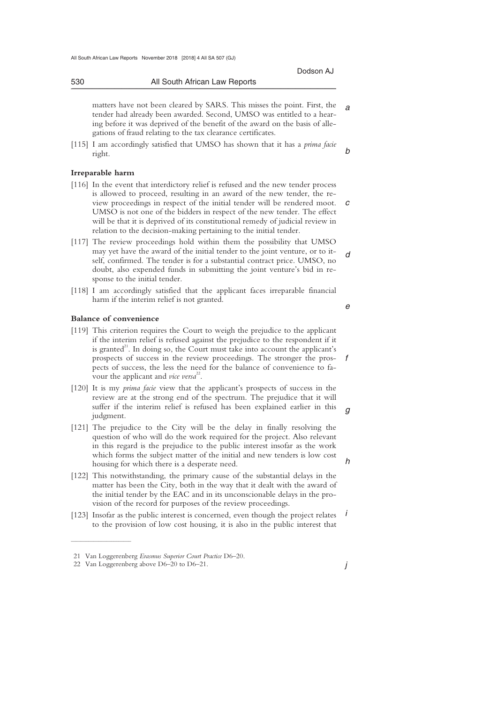*a*  matters have not been cleared by SARS. This misses the point. First, the tender had already been awarded. Second, UMSO was entitled to a hearing before it was deprived of the benefit of the award on the basis of allegations of fraud relating to the tax clearance certificates.

[115] I am accordingly satisfied that UMSO has shown that it has a *prima facie*  right.

### **Irreparable harm**

- *c*  view proceedings in respect of the initial tender will be rendered moot. [116] In the event that interdictory relief is refused and the new tender process is allowed to proceed, resulting in an award of the new tender, the re-UMSO is not one of the bidders in respect of the new tender. The effect will be that it is deprived of its constitutional remedy of judicial review in relation to the decision-making pertaining to the initial tender.
- *d*  [117] The review proceedings hold within them the possibility that UMSO may yet have the award of the initial tender to the joint venture, or to itself, confirmed. The tender is for a substantial contract price. UMSO, no doubt, also expended funds in submitting the joint venture's bid in response to the initial tender.
- [118] I am accordingly satisfied that the applicant faces irreparable financial harm if the interim relief is not granted.

### **Balance of convenience**

- [119] This criterion requires the Court to weigh the prejudice to the applicant if the interim relief is refused against the prejudice to the respondent if it is granted<sup>21</sup>. In doing so, the Court must take into account the applicant's prospects of success in the review proceedings. The stronger the prospects of success, the less the need for the balance of convenience to favour the applicant and *vice versa*<sup>22</sup>.
- [120] It is my *prima facie* view that the applicant's prospects of success in the review are at the strong end of the spectrum. The prejudice that it will suffer if the interim relief is refused has been explained earlier in this judgment.
- [121] The prejudice to the City will be the delay in finally resolving the question of who will do the work required for the project. Also relevant in this regard is the prejudice to the public interest insofar as the work which forms the subject matter of the initial and new tenders is low cost housing for which there is a desperate need.
- [122] This notwithstanding, the primary cause of the substantial delays in the matter has been the City, both in the way that it dealt with the award of the initial tender by the EAC and in its unconscionable delays in the provision of the record for purposes of the review proceedings.
- *i*  [123] Insofar as the public interest is concerned, even though the project relates to the provision of low cost housing, it is also in the public interest that

 $\overline{\phantom{a}}$  , where  $\overline{\phantom{a}}$ 

*j* 

 $\alpha$ 

*h* 

*e* 

*f* 

*b* 

Dodson AJ

 <sup>21</sup> Van Loggerenberg *Erasmus Superior Court Practice* D6–20.

 <sup>22</sup> Van Loggerenberg above D6–20 to D6–21.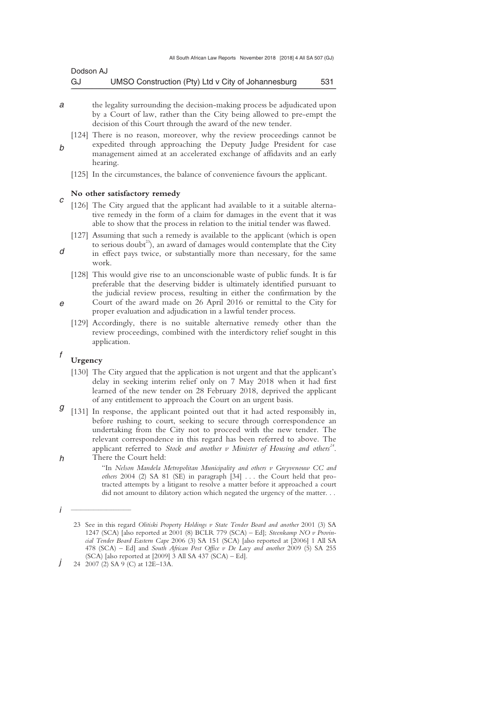| Dodson AJ |                                                    |     |
|-----------|----------------------------------------------------|-----|
| GJ        | UMSO Construction (Pty) Ltd v City of Johannesburg | 531 |

- *a*  the legality surrounding the decision-making process be adjudicated upon by a Court of law, rather than the City being allowed to pre-empt the decision of this Court through the award of the new tender.
	- [124] There is no reason, moreover, why the review proceedings cannot be expedited through approaching the Deputy Judge President for case management aimed at an accelerated exchange of affidavits and an early hearing.
	- [125] In the circumstances, the balance of convenience favours the applicant.

### **No other satisfactory remedy**

- *c*  [126] The City argued that the applicant had available to it a suitable alternative remedy in the form of a claim for damages in the event that it was able to show that the process in relation to the initial tender was flawed.
	- [127] Assuming that such a remedy is available to the applicant (which is open to serious doubt<sup>23</sup>), an award of damages would contemplate that the City
	- in effect pays twice, or substantially more than necessary, for the same work.
		- [128] This would give rise to an unconscionable waste of public funds. It is far preferable that the deserving bidder is ultimately identified pursuant to the judicial review process, resulting in either the confirmation by the
- *e*  Court of the award made on 26 April 2016 or remittal to the City for proper evaluation and adjudication in a lawful tender process.
	- [129] Accordingly, there is no suitable alternative remedy other than the review proceedings, combined with the interdictory relief sought in this application.

### *f*  **Urgency**

- [130] The City argued that the application is not urgent and that the applicant's delay in seeking interim relief only on 7 May 2018 when it had first learned of the new tender on 28 February 2018, deprived the applicant of any entitlement to approach the Court on an urgent basis.
- *g h*  [131] In response, the applicant pointed out that it had acted responsibly in, before rushing to court, seeking to secure through correspondence an undertaking from the City not to proceed with the new tender. The relevant correspondence in this regard has been referred to above. The applicant referred to *Stock and another v Minister of Housing and others<sup>24</sup>* . There the Court held:

"In *Nelson Mandela Metropolitan Municipality and others v Greyvenouw CC and others* 2004 (2) SA 81 (SE) in paragraph [34] . . . the Court held that protracted attempts by a litigant to resolve a matter before it approached a court did not amount to dilatory action which negated the urgency of the matter. . .

 $\overline{\phantom{a}}$  , where  $\overline{\phantom{a}}$ 

*d* 

*b* 

*i* 

<sup>23</sup> See in this regard *Olitiski Property Holdings v State Tender Board and another* 2001 (3) SA 1247 (SCA) [also reported at 2001 (8) BCLR 779 (SCA) – Ed]; *Steenkamp NO v Provincial Tender Board Eastern Cape* 2006 (3) SA 151 (SCA) [also reported at [2006] 1 All SA 478 (SCA) – Ed] and *South African Post Office v De Lacy and another* 2009 (5) SA 255  $(SCA)$  [also reported at [2009] 3 All SA 437  $(SCA) - Ed$ ].

*j*  24 2007 (2) SA 9 (C) at 12E–13A.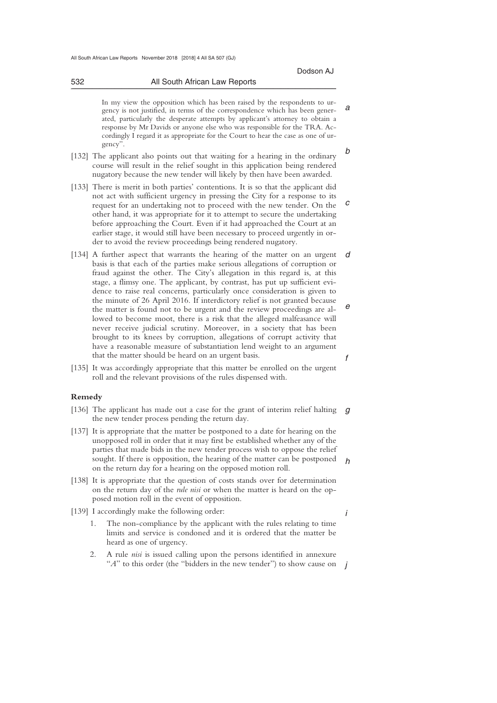*a* 

*i* 

In my view the opposition which has been raised by the respondents to urgency is not justified, in terms of the correspondence which has been generated, particularly the desperate attempts by applicant's attorney to obtain a response by Mr Davids or anyone else who was responsible for the TRA. Accordingly I regard it as appropriate for the Court to hear the case as one of urgency".

- *b*  [132] The applicant also points out that waiting for a hearing in the ordinary course will result in the relief sought in this application being rendered nugatory because the new tender will likely by then have been awarded.
- *c*  [133] There is merit in both parties' contentions. It is so that the applicant did not act with sufficient urgency in pressing the City for a response to its request for an undertaking not to proceed with the new tender. On the other hand, it was appropriate for it to attempt to secure the undertaking before approaching the Court. Even if it had approached the Court at an earlier stage, it would still have been necessary to proceed urgently in order to avoid the review proceedings being rendered nugatory.
- *d e f*  [134] A further aspect that warrants the hearing of the matter on an urgent basis is that each of the parties make serious allegations of corruption or fraud against the other. The City's allegation in this regard is, at this stage, a flimsy one. The applicant, by contrast, has put up sufficient evidence to raise real concerns, particularly once consideration is given to the minute of 26 April 2016. If interdictory relief is not granted because the matter is found not to be urgent and the review proceedings are allowed to become moot, there is a risk that the alleged malfeasance will never receive judicial scrutiny. Moreover, in a society that has been brought to its knees by corruption, allegations of corrupt activity that have a reasonable measure of substantiation lend weight to an argument that the matter should be heard on an urgent basis.
- [135] It was accordingly appropriate that this matter be enrolled on the urgent roll and the relevant provisions of the rules dispensed with.

### **Remedy**

- [136] The applicant has made out a case for the grant of interim relief halting g the new tender process pending the return day.
- *h*  [137] It is appropriate that the matter be postponed to a date for hearing on the unopposed roll in order that it may first be established whether any of the parties that made bids in the new tender process wish to oppose the relief sought. If there is opposition, the hearing of the matter can be postponed on the return day for a hearing on the opposed motion roll.
- [138] It is appropriate that the question of costs stands over for determination on the return day of the *rule nisi* or when the matter is heard on the opposed motion roll in the event of opposition.
- [139] I accordingly make the following order:
	- 1. The non-compliance by the applicant with the rules relating to time limits and service is condoned and it is ordered that the matter be heard as one of urgency.
	- "*A*" to this order (the "bidders in the new tender") to show cause on *j* 2. A rule *nisi* is issued calling upon the persons identified in annexure

\_\_\_\_\_\_\_\_\_\_\_\_\_\_\_\_\_\_\_\_\_\_\_\_\_\_\_\_\_\_\_\_\_\_\_\_\_\_\_\_\_\_\_\_\_\_\_\_\_\_\_\_\_\_\_\_\_\_\_\_\_\_\_\_\_\_\_\_\_\_\_\_\_\_\_\_\_\_\_\_\_\_\_\_\_\_\_\_\_\_\_\_\_\_\_\_\_\_\_\_\_\_\_\_\_\_\_\_\_\_\_\_\_\_\_\_\_\_\_\_\_\_\_\_\_\_\_\_\_\_\_\_\_\_\_\_\_\_\_\_\_\_\_